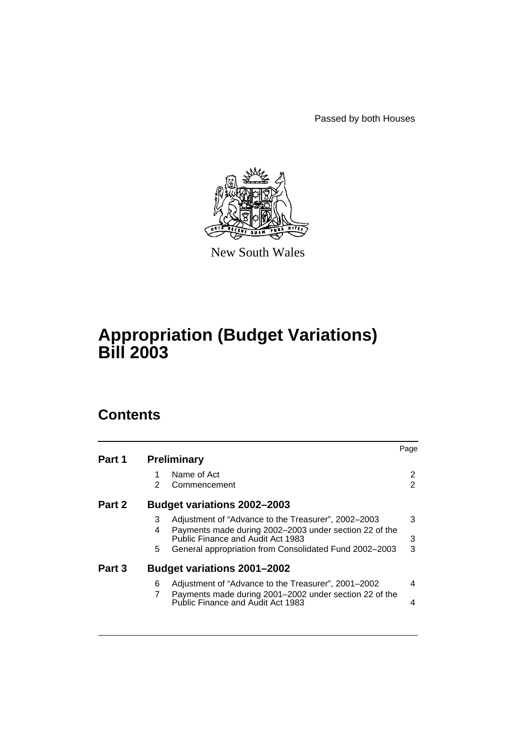Passed by both Houses



New South Wales

## **Appropriation (Budget Variations) Bill 2003**

## **Contents**

| Part 1 |               | <b>Preliminary</b>                                                                                                                                 | Page                                    |
|--------|---------------|----------------------------------------------------------------------------------------------------------------------------------------------------|-----------------------------------------|
|        | $\mathcal{P}$ | Name of Act<br>Commencement                                                                                                                        | $\mathbf{2}^{\prime}$<br>$\overline{2}$ |
| Part 2 |               | <b>Budget variations 2002-2003</b>                                                                                                                 |                                         |
|        | 3<br>4        | Adjustment of "Advance to the Treasurer", 2002-2003<br>Payments made during 2002-2003 under section 22 of the<br>Public Finance and Audit Act 1983 | 3<br>3                                  |
|        | 5             | General appropriation from Consolidated Fund 2002-2003                                                                                             | 3                                       |
| Part 3 |               | <b>Budget variations 2001-2002</b>                                                                                                                 |                                         |
|        | 6             | Adjustment of "Advance to the Treasurer", 2001-2002<br>Payments made during 2001-2002 under section 22 of the                                      | 4                                       |
|        |               | <b>Public Finance and Audit Act 1983</b>                                                                                                           | 4                                       |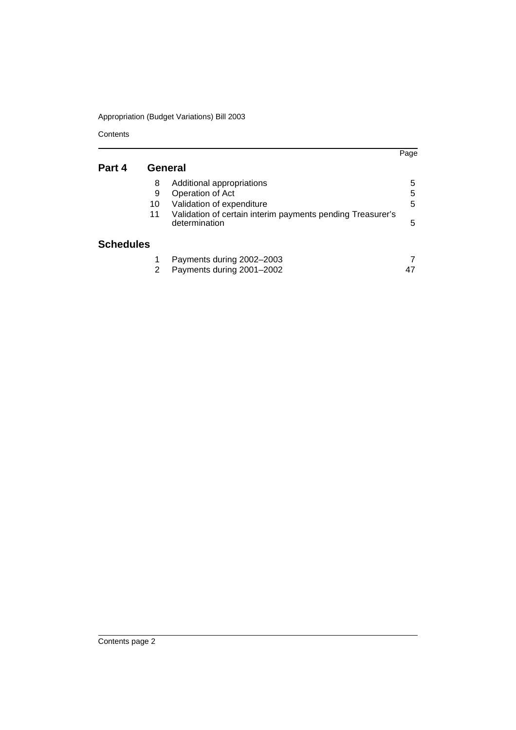**Contents** 

|                  |    |                                                                             | Page |
|------------------|----|-----------------------------------------------------------------------------|------|
| Part 4           |    | General                                                                     |      |
|                  | 8  | Additional appropriations                                                   | 5    |
|                  | 9  | Operation of Act                                                            | 5    |
|                  | 10 | Validation of expenditure                                                   | 5    |
|                  | 11 | Validation of certain interim payments pending Treasurer's<br>determination | 5    |
| <b>Schedules</b> |    |                                                                             |      |
|                  |    | Payments during 2002-2003                                                   |      |
|                  | 2  | Payments during 2001-2002                                                   |      |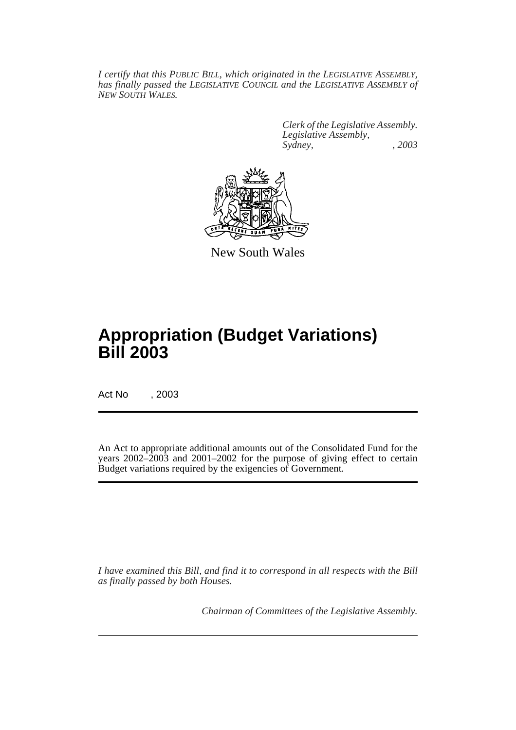*I certify that this PUBLIC BILL, which originated in the LEGISLATIVE ASSEMBLY, has finally passed the LEGISLATIVE COUNCIL and the LEGISLATIVE ASSEMBLY of NEW SOUTH WALES.*

> *Clerk of the Legislative Assembly. Legislative Assembly, Sydney, , 2003*



New South Wales

## **Appropriation (Budget Variations) Bill 2003**

Act No , 2003

An Act to appropriate additional amounts out of the Consolidated Fund for the years 2002–2003 and 2001–2002 for the purpose of giving effect to certain Budget variations required by the exigencies of Government.

*I have examined this Bill, and find it to correspond in all respects with the Bill as finally passed by both Houses.*

*Chairman of Committees of the Legislative Assembly.*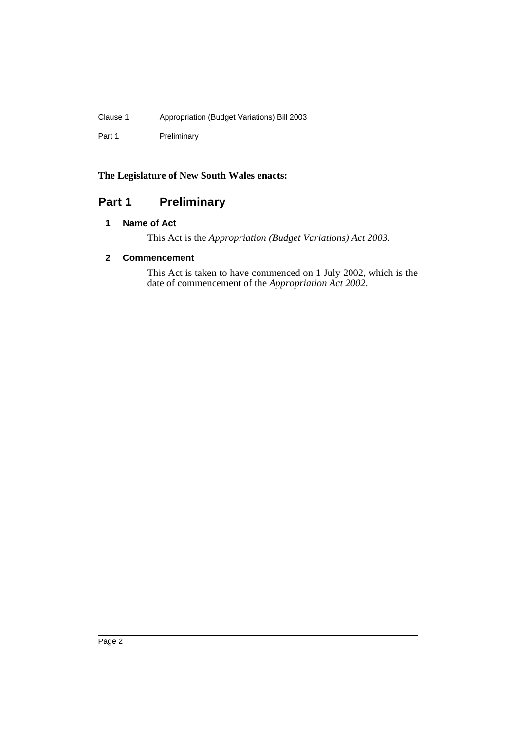### Clause 1 Appropriation (Budget Variations) Bill 2003

Part 1 Preliminary

### **The Legislature of New South Wales enacts:**

### <span id="page-3-1"></span><span id="page-3-0"></span>**Part 1 Preliminary**

### **1 Name of Act**

This Act is the *Appropriation (Budget Variations) Act 2003*.

### <span id="page-3-2"></span>**2 Commencement**

This Act is taken to have commenced on 1 July 2002, which is the date of commencement of the *Appropriation Act 2002*.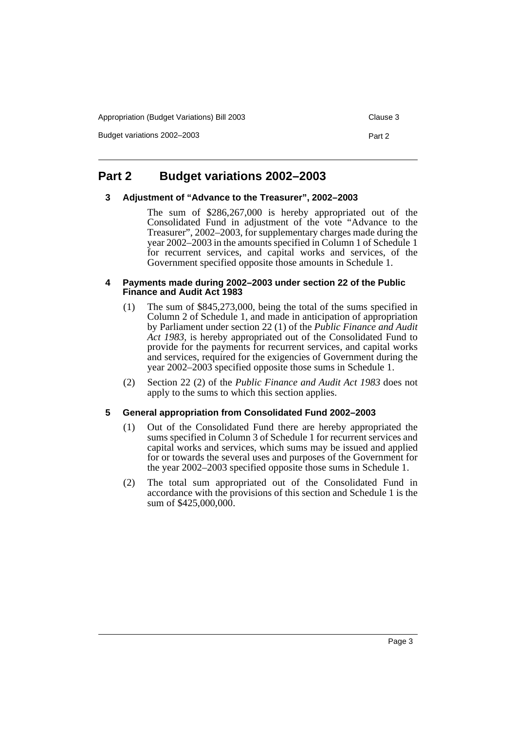Appropriation (Budget Variations) Bill 2003 Clause 3

Budget variations 2002–2003 **Part 2 Part 2** 

### <span id="page-4-1"></span><span id="page-4-0"></span>**Part 2 Budget variations 2002–2003**

#### **3 Adjustment of "Advance to the Treasurer", 2002–2003**

The sum of \$286,267,000 is hereby appropriated out of the Consolidated Fund in adjustment of the vote "Advance to the Treasurer", 2002–2003, for supplementary charges made during the year 2002–2003 in the amounts specified in Column 1 of Schedule 1 for recurrent services, and capital works and services, of the Government specified opposite those amounts in Schedule 1.

#### <span id="page-4-2"></span>**4 Payments made during 2002–2003 under section 22 of the Public Finance and Audit Act 1983**

- (1) The sum of \$845,273,000, being the total of the sums specified in Column 2 of Schedule 1, and made in anticipation of appropriation by Parliament under section 22 (1) of the *Public Finance and Audit Act 1983*, is hereby appropriated out of the Consolidated Fund to provide for the payments for recurrent services, and capital works and services, required for the exigencies of Government during the year 2002–2003 specified opposite those sums in Schedule 1.
- (2) Section 22 (2) of the *Public Finance and Audit Act 1983* does not apply to the sums to which this section applies.

#### <span id="page-4-3"></span>**5 General appropriation from Consolidated Fund 2002–2003**

- (1) Out of the Consolidated Fund there are hereby appropriated the sums specified in Column 3 of Schedule 1 for recurrent services and capital works and services, which sums may be issued and applied for or towards the several uses and purposes of the Government for the year 2002–2003 specified opposite those sums in Schedule 1.
- (2) The total sum appropriated out of the Consolidated Fund in accordance with the provisions of this section and Schedule 1 is the sum of \$425,000,000.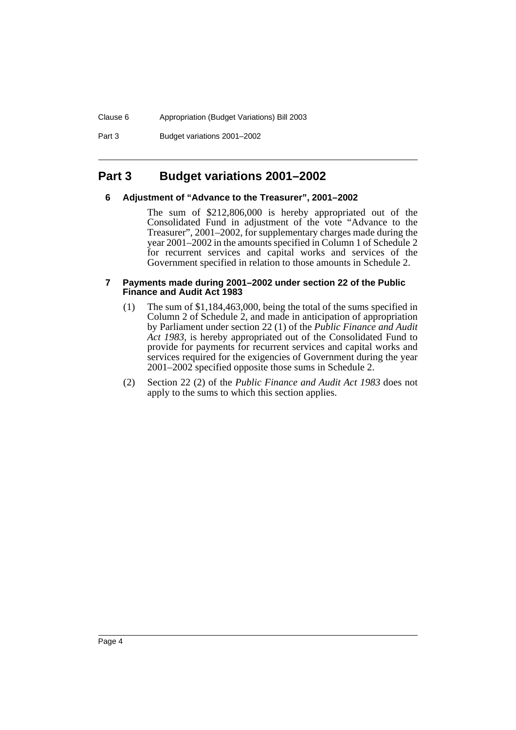#### Clause 6 Appropriation (Budget Variations) Bill 2003

Part 3 Budget variations 2001–2002

### <span id="page-5-1"></span><span id="page-5-0"></span>**Part 3 Budget variations 2001–2002**

#### **6 Adjustment of "Advance to the Treasurer", 2001–2002**

The sum of \$212,806,000 is hereby appropriated out of the Consolidated Fund in adjustment of the vote "Advance to the Treasurer", 2001–2002, for supplementary charges made during the year 2001–2002 in the amounts specified in Column 1 of Schedule 2 for recurrent services and capital works and services of the Government specified in relation to those amounts in Schedule 2.

#### <span id="page-5-2"></span>**7 Payments made during 2001–2002 under section 22 of the Public Finance and Audit Act 1983**

- (1) The sum of \$1,184,463,000, being the total of the sums specified in Column 2 of Schedule 2, and made in anticipation of appropriation by Parliament under section 22 (1) of the *Public Finance and Audit Act 1983*, is hereby appropriated out of the Consolidated Fund to provide for payments for recurrent services and capital works and services required for the exigencies of Government during the year 2001–2002 specified opposite those sums in Schedule 2.
- (2) Section 22 (2) of the *Public Finance and Audit Act 1983* does not apply to the sums to which this section applies.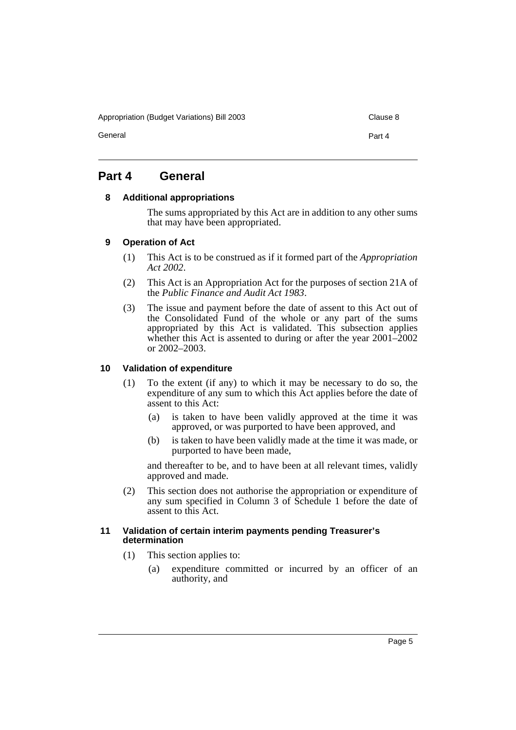Appropriation (Budget Variations) Bill 2003 Clause 8

General **Part 4** 

### <span id="page-6-1"></span><span id="page-6-0"></span>**Part 4 General**

#### **8 Additional appropriations**

The sums appropriated by this Act are in addition to any other sums that may have been appropriated.

#### <span id="page-6-2"></span>**9 Operation of Act**

- (1) This Act is to be construed as if it formed part of the *Appropriation Act 2002*.
- (2) This Act is an Appropriation Act for the purposes of section 21A of the *Public Finance and Audit Act 1983*.
- (3) The issue and payment before the date of assent to this Act out of the Consolidated Fund of the whole or any part of the sums appropriated by this Act is validated. This subsection applies whether this Act is assented to during or after the year 2001–2002 or 2002–2003.

#### <span id="page-6-3"></span>**10 Validation of expenditure**

- (1) To the extent (if any) to which it may be necessary to do so, the expenditure of any sum to which this Act applies before the date of assent to this Act:
	- (a) is taken to have been validly approved at the time it was approved, or was purported to have been approved, and
	- (b) is taken to have been validly made at the time it was made, or purported to have been made,

and thereafter to be, and to have been at all relevant times, validly approved and made.

(2) This section does not authorise the appropriation or expenditure of any sum specified in Column 3 of Schedule 1 before the date of assent to this Act.

#### <span id="page-6-4"></span>**11 Validation of certain interim payments pending Treasurer's determination**

- (1) This section applies to:
	- (a) expenditure committed or incurred by an officer of an authority, and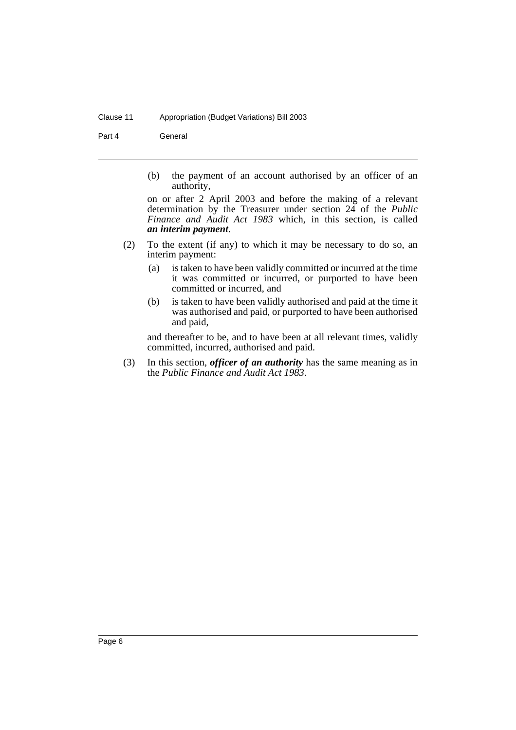#### Clause 11 Appropriation (Budget Variations) Bill 2003

Part 4 **General** 

(b) the payment of an account authorised by an officer of an authority,

on or after 2 April 2003 and before the making of a relevant determination by the Treasurer under section 24 of the *Public Finance and Audit Act 1983* which, in this section, is called *an interim payment*.

- (2) To the extent (if any) to which it may be necessary to do so, an interim payment:
	- (a) is taken to have been validly committed or incurred at the time it was committed or incurred, or purported to have been committed or incurred, and
	- (b) is taken to have been validly authorised and paid at the time it was authorised and paid, or purported to have been authorised and paid,

and thereafter to be, and to have been at all relevant times, validly committed, incurred, authorised and paid.

(3) In this section, *officer of an authority* has the same meaning as in the *Public Finance and Audit Act 1983*.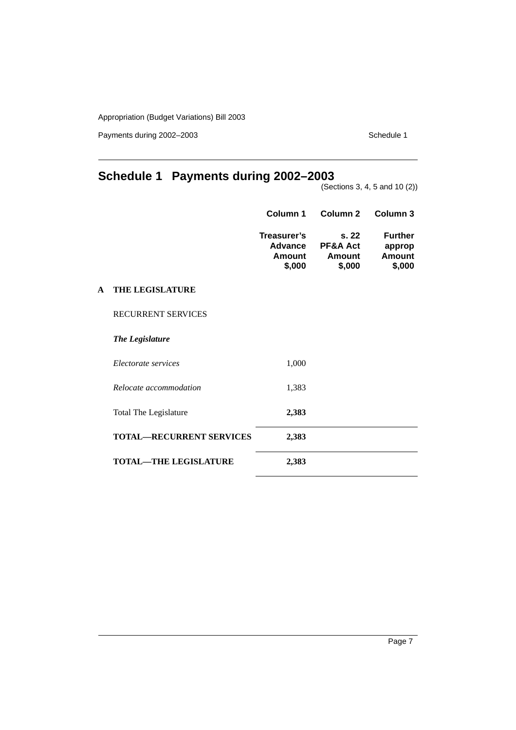Payments during 2002–2003 Schedule 1

### <span id="page-8-0"></span>**Schedule 1 Payments during 2002–2003**

(Sections 3, 4, 5 and 10 (2))

| Column 1                                   | Column 2                                         | Column 3                                     |
|--------------------------------------------|--------------------------------------------------|----------------------------------------------|
| Treasurer's<br>Advance<br>Amount<br>\$,000 | s. 22<br><b>PF&amp;A Act</b><br>Amount<br>\$,000 | <b>Further</b><br>approp<br>Amount<br>\$,000 |
|                                            |                                                  |                                              |

### **A THE LEGISLATURE**

RECURRENT SERVICES

*The Legislature*

| Electorate services             | 1,000 |  |
|---------------------------------|-------|--|
| Relocate accommodation          | 1,383 |  |
| Total The Legislature           | 2,383 |  |
| <b>TOTAL—RECURRENT SERVICES</b> | 2,383 |  |
| <b>TOTAL—THE LEGISLATURE</b>    | 2,383 |  |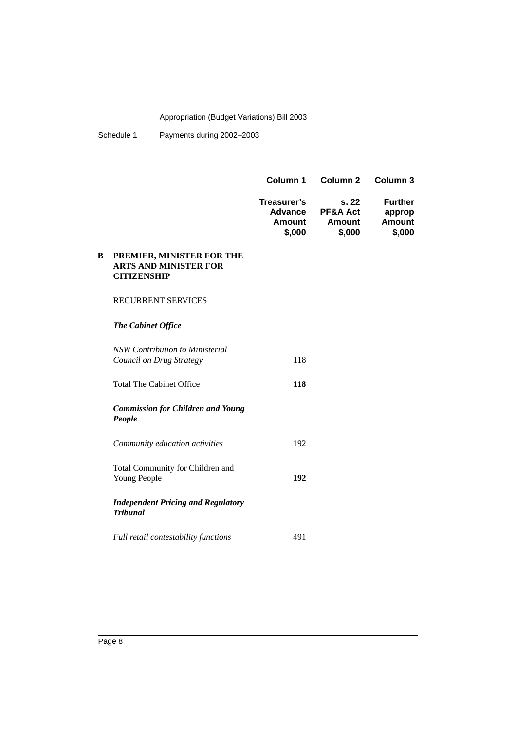Schedule 1 Payments during 2002-2003

|   |                                                                                 | Column 1                                   | Column 2                             | Column 3                                     |
|---|---------------------------------------------------------------------------------|--------------------------------------------|--------------------------------------|----------------------------------------------|
|   |                                                                                 | Treasurer's<br>Advance<br>Amount<br>\$,000 | s.22<br>PF&A Act<br>Amount<br>\$,000 | <b>Further</b><br>approp<br>Amount<br>\$,000 |
| B | PREMIER, MINISTER FOR THE<br><b>ARTS AND MINISTER FOR</b><br><b>CITIZENSHIP</b> |                                            |                                      |                                              |
|   | <b>RECURRENT SERVICES</b>                                                       |                                            |                                      |                                              |
|   | The Cabinet Office                                                              |                                            |                                      |                                              |
|   | NSW Contribution to Ministerial<br>Council on Drug Strategy                     | 118                                        |                                      |                                              |
|   | <b>Total The Cabinet Office</b>                                                 | 118                                        |                                      |                                              |
|   | <b>Commission for Children and Young</b><br>People                              |                                            |                                      |                                              |
|   | Community education activities                                                  | 192                                        |                                      |                                              |
|   | Total Community for Children and<br>Young People                                | 192                                        |                                      |                                              |
|   |                                                                                 |                                            |                                      |                                              |

*Independent Pricing and Regulatory Tribunal*

*Full retail contestability functions* 491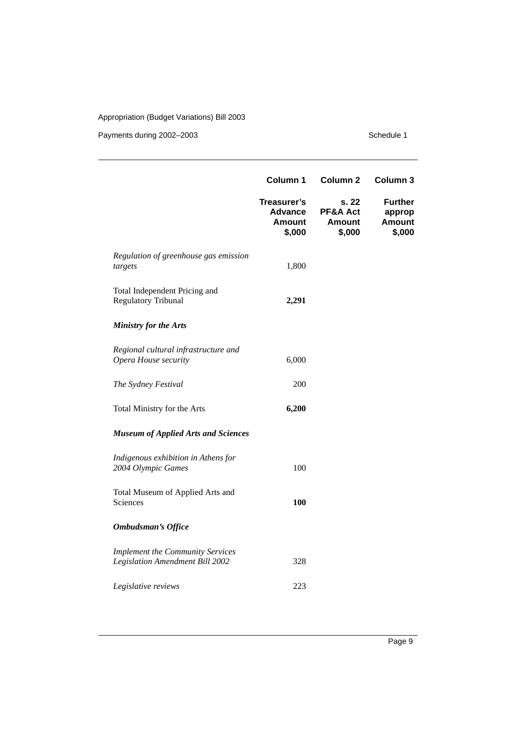|                                                                            | Column 1                                                 | Column <sub>2</sub>                          | Column 3                                            |
|----------------------------------------------------------------------------|----------------------------------------------------------|----------------------------------------------|-----------------------------------------------------|
|                                                                            | Treasurer's<br><b>Advance</b><br><b>Amount</b><br>\$,000 | s. 22<br>PF&A Act<br><b>Amount</b><br>\$,000 | <b>Further</b><br>approp<br><b>Amount</b><br>\$,000 |
| Regulation of greenhouse gas emission<br>targest                           | 1,800                                                    |                                              |                                                     |
| Total Independent Pricing and<br><b>Regulatory Tribunal</b>                | 2,291                                                    |                                              |                                                     |
| <b>Ministry for the Arts</b>                                               |                                                          |                                              |                                                     |
| Regional cultural infrastructure and<br>Opera House security               | 6,000                                                    |                                              |                                                     |
| The Sydney Festival                                                        | 200                                                      |                                              |                                                     |
| Total Ministry for the Arts                                                | 6,200                                                    |                                              |                                                     |
| <b>Museum of Applied Arts and Sciences</b>                                 |                                                          |                                              |                                                     |
| Indigenous exhibition in Athens for<br>2004 Olympic Games                  | 100                                                      |                                              |                                                     |
| Total Museum of Applied Arts and<br>Sciences                               | <b>100</b>                                               |                                              |                                                     |
| <b>Ombudsman's Office</b>                                                  |                                                          |                                              |                                                     |
| <b>Implement the Community Services</b><br>Legislation Amendment Bill 2002 | 328                                                      |                                              |                                                     |
| Legislative reviews                                                        | 223                                                      |                                              |                                                     |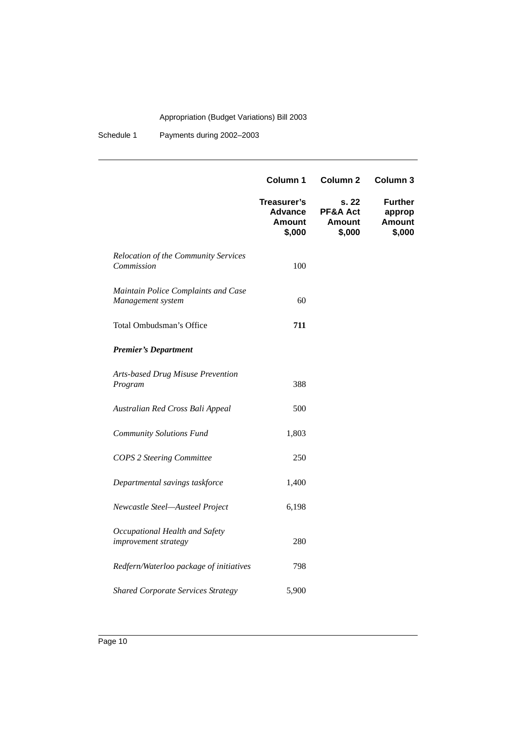Schedule 1 Payments during 2002-2003

|                                                          | Column 1                                                 | Column <sub>2</sub>                          | Column 3                                            |
|----------------------------------------------------------|----------------------------------------------------------|----------------------------------------------|-----------------------------------------------------|
|                                                          | Treasurer's<br><b>Advance</b><br><b>Amount</b><br>\$,000 | s. 22<br>PF&A Act<br><b>Amount</b><br>\$,000 | <b>Further</b><br>approp<br><b>Amount</b><br>\$,000 |
| Relocation of the Community Services<br>Commission       | 100                                                      |                                              |                                                     |
| Maintain Police Complaints and Case<br>Management system | 60                                                       |                                              |                                                     |
| Total Ombudsman's Office                                 | 711                                                      |                                              |                                                     |
| <b>Premier's Department</b>                              |                                                          |                                              |                                                     |
| Arts-based Drug Misuse Prevention<br>Program             | 388                                                      |                                              |                                                     |
| Australian Red Cross Bali Appeal                         | 500                                                      |                                              |                                                     |
| <b>Community Solutions Fund</b>                          | 1,803                                                    |                                              |                                                     |
| <b>COPS 2 Steering Committee</b>                         | 250                                                      |                                              |                                                     |
| Departmental savings taskforce                           | 1,400                                                    |                                              |                                                     |
| Newcastle Steel-Austeel Project                          | 6,198                                                    |                                              |                                                     |
| Occupational Health and Safety<br>improvement strategy   | 280                                                      |                                              |                                                     |
| Redfern/Waterloo package of initiatives                  | 798                                                      |                                              |                                                     |
| <b>Shared Corporate Services Strategy</b>                | 5,900                                                    |                                              |                                                     |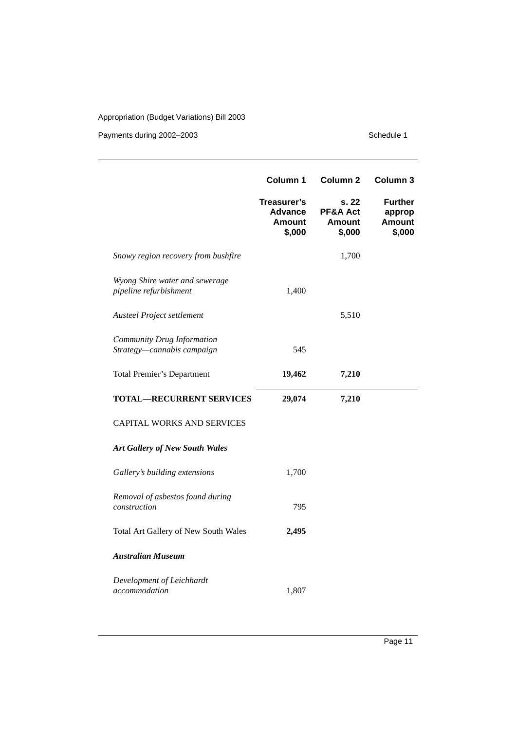|                                                          | Column 1                                                 | Column <sub>2</sub>                          | Column 3                                            |
|----------------------------------------------------------|----------------------------------------------------------|----------------------------------------------|-----------------------------------------------------|
|                                                          | Treasurer's<br><b>Advance</b><br><b>Amount</b><br>\$,000 | s. 22<br>PF&A Act<br><b>Amount</b><br>\$,000 | <b>Further</b><br>approp<br><b>Amount</b><br>\$,000 |
| Snowy region recovery from bushfire                      |                                                          | 1,700                                        |                                                     |
| Wyong Shire water and sewerage<br>pipeline refurbishment | 1,400                                                    |                                              |                                                     |
| Austeel Project settlement                               |                                                          | 5,510                                        |                                                     |
| Community Drug Information<br>Strategy-cannabis campaign | 545                                                      |                                              |                                                     |
| <b>Total Premier's Department</b>                        | 19,462                                                   | 7,210                                        |                                                     |
| <b>TOTAL-RECURRENT SERVICES</b>                          | 29,074                                                   | 7,210                                        |                                                     |
| <b>CAPITAL WORKS AND SERVICES</b>                        |                                                          |                                              |                                                     |
| <b>Art Gallery of New South Wales</b>                    |                                                          |                                              |                                                     |
| Gallery's building extensions                            | 1,700                                                    |                                              |                                                     |
| Removal of asbestos found during<br>construction         | 795                                                      |                                              |                                                     |
| Total Art Gallery of New South Wales                     | 2,495                                                    |                                              |                                                     |
| <b>Australian Museum</b>                                 |                                                          |                                              |                                                     |
| Development of Leichhardt<br>accommodation               | 1,807                                                    |                                              |                                                     |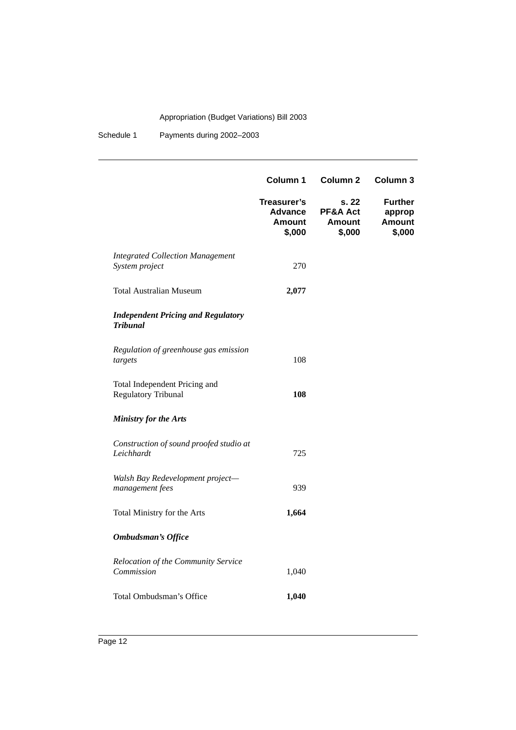Schedule 1 Payments during 2002-2003

|                                                              | Column 1                                                 | Column <sub>2</sub>                          | Column 3                                     |
|--------------------------------------------------------------|----------------------------------------------------------|----------------------------------------------|----------------------------------------------|
|                                                              | Treasurer's<br><b>Advance</b><br><b>Amount</b><br>\$,000 | s. 22<br>PF&A Act<br><b>Amount</b><br>\$,000 | Further<br>approp<br><b>Amount</b><br>\$,000 |
| <b>Integrated Collection Management</b><br>System project    | 270                                                      |                                              |                                              |
| <b>Total Australian Museum</b>                               | 2,077                                                    |                                              |                                              |
| <b>Independent Pricing and Regulatory</b><br><b>Tribunal</b> |                                                          |                                              |                                              |
| Regulation of greenhouse gas emission<br>targets             | 108                                                      |                                              |                                              |
| Total Independent Pricing and<br><b>Regulatory Tribunal</b>  | 108                                                      |                                              |                                              |
| <b>Ministry for the Arts</b>                                 |                                                          |                                              |                                              |
| Construction of sound proofed studio at<br>Leichhardt        | 725                                                      |                                              |                                              |
| Walsh Bay Redevelopment project-<br>management fees          | 939                                                      |                                              |                                              |
| Total Ministry for the Arts                                  | 1,664                                                    |                                              |                                              |
| <b>Ombudsman's Office</b>                                    |                                                          |                                              |                                              |
| Relocation of the Community Service<br>Commission            | 1,040                                                    |                                              |                                              |
| Total Ombudsman's Office                                     | 1,040                                                    |                                              |                                              |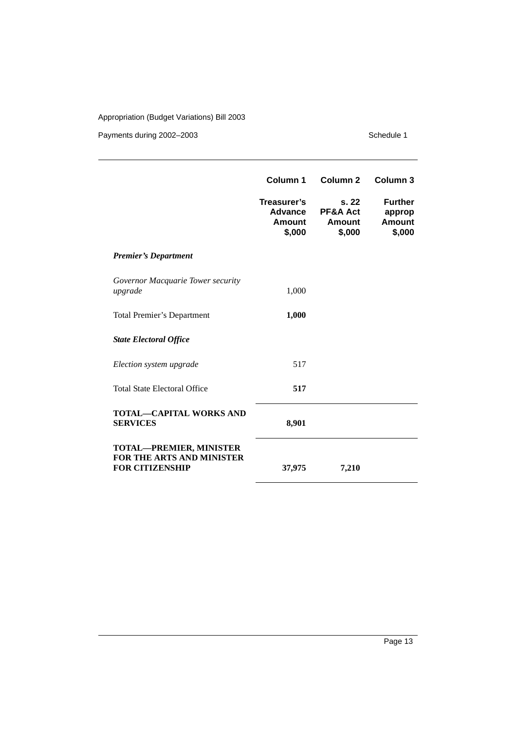|                                                                                              | Column 1                                          | Column <sub>2</sub>                                    | Column <sub>3</sub>                                 |
|----------------------------------------------------------------------------------------------|---------------------------------------------------|--------------------------------------------------------|-----------------------------------------------------|
|                                                                                              | Treasurer's<br><b>Advance</b><br>Amount<br>\$,000 | s.22<br><b>PF&amp;A Act</b><br><b>Amount</b><br>\$,000 | <b>Further</b><br>approp<br><b>Amount</b><br>\$,000 |
| <b>Premier's Department</b>                                                                  |                                                   |                                                        |                                                     |
| Governor Macquarie Tower security<br>upgrade                                                 | 1,000                                             |                                                        |                                                     |
| <b>Total Premier's Department</b>                                                            | 1,000                                             |                                                        |                                                     |
| <b>State Electoral Office</b>                                                                |                                                   |                                                        |                                                     |
| Election system upgrade                                                                      | 517                                               |                                                        |                                                     |
| <b>Total State Electoral Office</b>                                                          | 517                                               |                                                        |                                                     |
| <b>TOTAL—CAPITAL WORKS AND</b><br><b>SERVICES</b>                                            | 8,901                                             |                                                        |                                                     |
| <b>TOTAL-PREMIER, MINISTER</b><br><b>FOR THE ARTS AND MINISTER</b><br><b>FOR CITIZENSHIP</b> | 37,975                                            | 7,210                                                  |                                                     |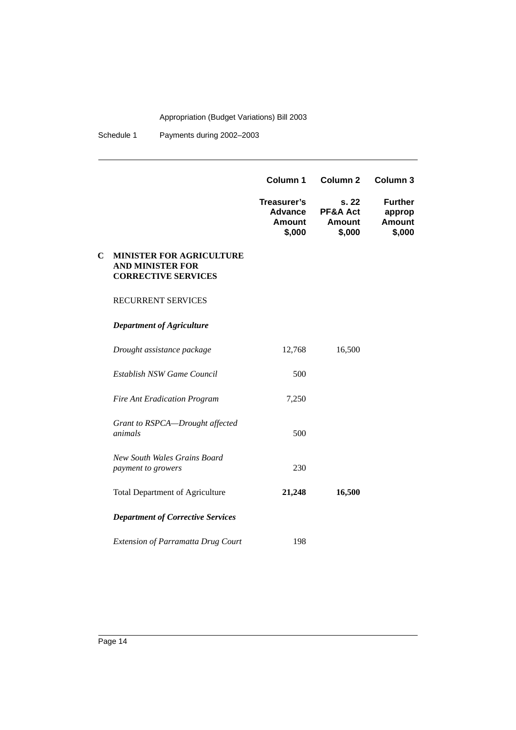Schedule 1 Payments during 2002-2003

|             |                                                                                          | Column 1                                                 | Column <sub>2</sub>                         | Column <sub>3</sub>                                 |
|-------------|------------------------------------------------------------------------------------------|----------------------------------------------------------|---------------------------------------------|-----------------------------------------------------|
|             |                                                                                          | Treasurer's<br><b>Advance</b><br><b>Amount</b><br>\$,000 | s.22<br>PF&A Act<br><b>Amount</b><br>\$,000 | <b>Further</b><br>approp<br><b>Amount</b><br>\$,000 |
| $\mathbf C$ | <b>MINISTER FOR AGRICULTURE</b><br><b>AND MINISTER FOR</b><br><b>CORRECTIVE SERVICES</b> |                                                          |                                             |                                                     |
|             | <b>RECURRENT SERVICES</b>                                                                |                                                          |                                             |                                                     |
|             | <b>Department of Agriculture</b>                                                         |                                                          |                                             |                                                     |
|             | Drought assistance package                                                               | 12,768                                                   | 16,500                                      |                                                     |
|             | Establish NSW Game Council                                                               | 500                                                      |                                             |                                                     |
|             | <b>Fire Ant Eradication Program</b>                                                      | 7,250                                                    |                                             |                                                     |
|             | Grant to RSPCA-Drought affected<br>animals                                               | 500                                                      |                                             |                                                     |
|             | New South Wales Grains Board<br>payment to growers                                       | 230                                                      |                                             |                                                     |
|             | <b>Total Department of Agriculture</b>                                                   | 21,248                                                   | 16,500                                      |                                                     |
|             | <b>Department of Corrective Services</b>                                                 |                                                          |                                             |                                                     |
|             | <b>Extension of Parramatta Drug Court</b>                                                | 198                                                      |                                             |                                                     |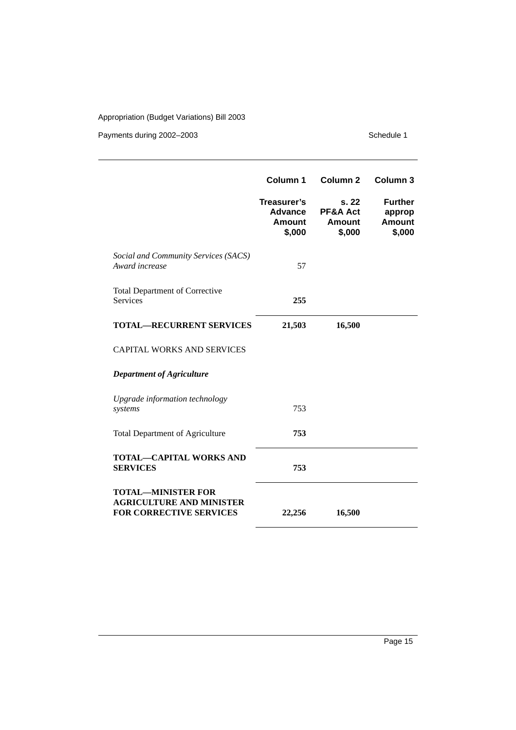|                                                                                                | Column 1                                   | <b>Column 2</b>                              | Column <sub>3</sub>                                 |
|------------------------------------------------------------------------------------------------|--------------------------------------------|----------------------------------------------|-----------------------------------------------------|
|                                                                                                | Treasurer's<br>Advance<br>Amount<br>\$,000 | s. 22<br>PF&A Act<br><b>Amount</b><br>\$,000 | <b>Further</b><br>approp<br><b>Amount</b><br>\$,000 |
| Social and Community Services (SACS)<br>Award increase                                         | 57                                         |                                              |                                                     |
| <b>Total Department of Corrective</b><br><b>Services</b>                                       | 255                                        |                                              |                                                     |
| <b>TOTAL—RECURRENT SERVICES</b>                                                                | 21,503                                     | 16,500                                       |                                                     |
| <b>CAPITAL WORKS AND SERVICES</b>                                                              |                                            |                                              |                                                     |
| <b>Department of Agriculture</b>                                                               |                                            |                                              |                                                     |
| Upgrade information technology<br>systems                                                      | 753                                        |                                              |                                                     |
| <b>Total Department of Agriculture</b>                                                         | 753                                        |                                              |                                                     |
| <b>TOTAL-CAPITAL WORKS AND</b><br><b>SERVICES</b>                                              | 753                                        |                                              |                                                     |
| <b>TOTAL-MINISTER FOR</b><br><b>AGRICULTURE AND MINISTER</b><br><b>FOR CORRECTIVE SERVICES</b> | 22,256                                     | 16,500                                       |                                                     |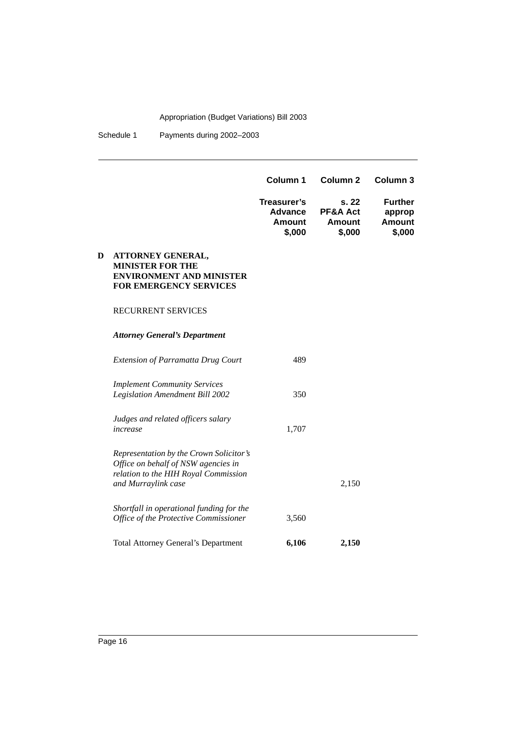Schedule 1 Payments during 2002-2003

|   |                                                                                                                                               | Column 1                                          | Column <sub>2</sub>                                    | Column <sub>3</sub>                                 |
|---|-----------------------------------------------------------------------------------------------------------------------------------------------|---------------------------------------------------|--------------------------------------------------------|-----------------------------------------------------|
|   |                                                                                                                                               | Treasurer's<br>Advance<br><b>Amount</b><br>\$,000 | s.22<br><b>PF&amp;A Act</b><br><b>Amount</b><br>\$,000 | <b>Further</b><br>approp<br><b>Amount</b><br>\$,000 |
| D | ATTORNEY GENERAL,<br><b>MINISTER FOR THE</b><br><b>ENVIRONMENT AND MINISTER</b><br>FOR EMERGENCY SERVICES                                     |                                                   |                                                        |                                                     |
|   | <b>RECURRENT SERVICES</b>                                                                                                                     |                                                   |                                                        |                                                     |
|   | <b>Attorney General's Department</b>                                                                                                          |                                                   |                                                        |                                                     |
|   | <b>Extension of Parramatta Drug Court</b>                                                                                                     | 489                                               |                                                        |                                                     |
|   | <b>Implement Community Services</b><br><b>Legislation Amendment Bill 2002</b>                                                                 | 350                                               |                                                        |                                                     |
|   | Judges and related officers salary<br>increase                                                                                                | 1,707                                             |                                                        |                                                     |
|   | Representation by the Crown Solicitor's<br>Office on behalf of NSW agencies in<br>relation to the HIH Royal Commission<br>and Murraylink case |                                                   | 2,150                                                  |                                                     |
|   | Shortfall in operational funding for the<br>Office of the Protective Commissioner                                                             | 3,560                                             |                                                        |                                                     |
|   | <b>Total Attorney General's Department</b>                                                                                                    | 6,106                                             | 2,150                                                  |                                                     |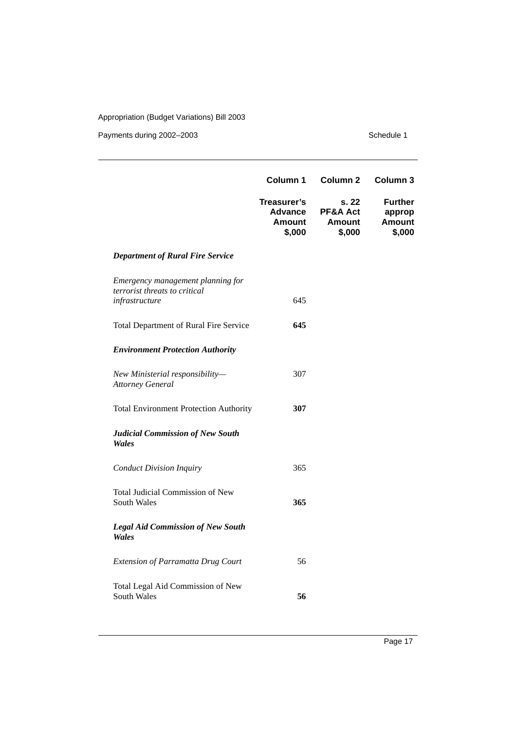|                                                                                      | Column 1                                                 | Column <sub>2</sub>                          | Column 3                                            |
|--------------------------------------------------------------------------------------|----------------------------------------------------------|----------------------------------------------|-----------------------------------------------------|
|                                                                                      | Treasurer's<br><b>Advance</b><br><b>Amount</b><br>\$,000 | s. 22<br>PF&A Act<br><b>Amount</b><br>\$,000 | <b>Further</b><br>approp<br><b>Amount</b><br>\$,000 |
| <b>Department of Rural Fire Service</b>                                              |                                                          |                                              |                                                     |
| Emergency management planning for<br>terrorist threats to critical<br>infrastructure | 645                                                      |                                              |                                                     |
| Total Department of Rural Fire Service                                               | 645                                                      |                                              |                                                     |
| <b>Environment Protection Authority</b>                                              |                                                          |                                              |                                                     |
| New Ministerial responsibility-<br><b>Attorney General</b>                           | 307                                                      |                                              |                                                     |
| <b>Total Environment Protection Authority</b>                                        | 307                                                      |                                              |                                                     |
| Judicial Commission of New South<br>Wales                                            |                                                          |                                              |                                                     |
| <b>Conduct Division Inquiry</b>                                                      | 365                                                      |                                              |                                                     |
| Total Judicial Commission of New<br><b>South Wales</b>                               | 365                                                      |                                              |                                                     |
| <b>Legal Aid Commission of New South</b><br>Wales                                    |                                                          |                                              |                                                     |
| <b>Extension of Parramatta Drug Court</b>                                            | 56                                                       |                                              |                                                     |
| Total Legal Aid Commission of New<br>South Wales                                     | 56                                                       |                                              |                                                     |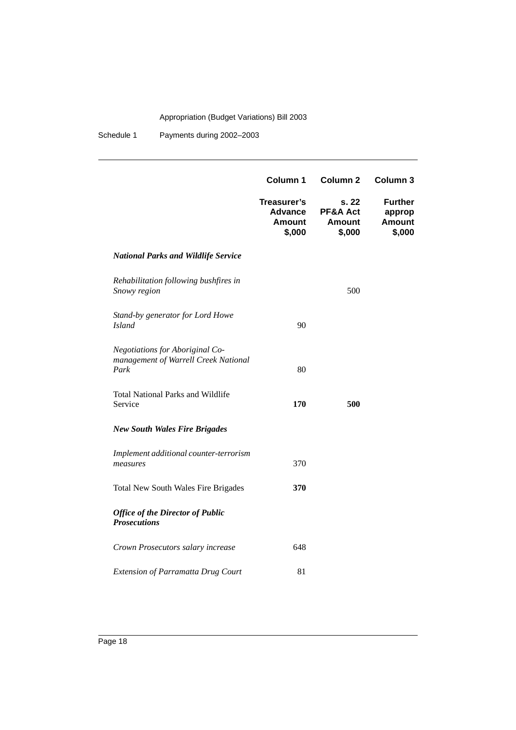Schedule 1 Payments during 2002-2003

|                                                                                 | Column 1                                          | Column <sub>2</sub>                          | Column 3                                            |
|---------------------------------------------------------------------------------|---------------------------------------------------|----------------------------------------------|-----------------------------------------------------|
|                                                                                 | Treasurer's<br><b>Advance</b><br>Amount<br>\$,000 | s. 22<br>PF&A Act<br><b>Amount</b><br>\$,000 | <b>Further</b><br>approp<br><b>Amount</b><br>\$,000 |
| <b>National Parks and Wildlife Service</b>                                      |                                                   |                                              |                                                     |
| Rehabilitation following bushfires in<br>Snowy region                           |                                                   | 500                                          |                                                     |
| Stand-by generator for Lord Howe<br><b>Island</b>                               | 90                                                |                                              |                                                     |
| Negotiations for Aboriginal Co-<br>management of Warrell Creek National<br>Park | 80                                                |                                              |                                                     |
| <b>Total National Parks and Wildlife</b><br>Service                             | 170                                               | 500                                          |                                                     |
| <b>New South Wales Fire Brigades</b>                                            |                                                   |                                              |                                                     |
| Implement additional counter-terrorism<br>measures                              | 370                                               |                                              |                                                     |
| <b>Total New South Wales Fire Brigades</b>                                      | 370                                               |                                              |                                                     |
| <b>Office of the Director of Public</b><br><b>Prosecutions</b>                  |                                                   |                                              |                                                     |
| Crown Prosecutors salary increase                                               | 648                                               |                                              |                                                     |
| Extension of Parramatta Drug Court                                              | 81                                                |                                              |                                                     |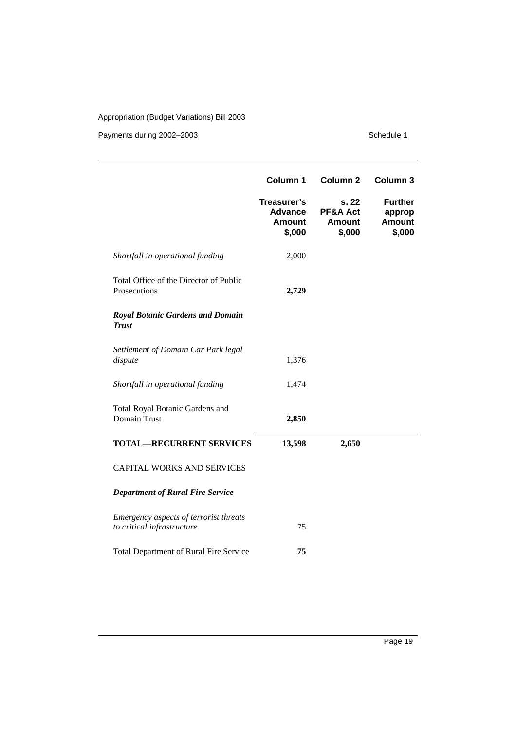|                                                                      | Column 1                                                 | Column <sub>2</sub>                          | Column 3                                            |
|----------------------------------------------------------------------|----------------------------------------------------------|----------------------------------------------|-----------------------------------------------------|
|                                                                      | Treasurer's<br><b>Advance</b><br><b>Amount</b><br>\$,000 | s. 22<br>PF&A Act<br><b>Amount</b><br>\$,000 | <b>Further</b><br>approp<br><b>Amount</b><br>\$,000 |
| Shortfall in operational funding                                     | 2,000                                                    |                                              |                                                     |
| Total Office of the Director of Public<br>Prosecutions               | 2,729                                                    |                                              |                                                     |
| <b>Royal Botanic Gardens and Domain</b><br><b>Trust</b>              |                                                          |                                              |                                                     |
| Settlement of Domain Car Park legal<br>dispute                       | 1,376                                                    |                                              |                                                     |
| Shortfall in operational funding                                     | 1,474                                                    |                                              |                                                     |
| Total Royal Botanic Gardens and<br>Domain Trust                      | 2,850                                                    |                                              |                                                     |
| <b>TOTAL-RECURRENT SERVICES</b>                                      | 13,598                                                   | 2,650                                        |                                                     |
| <b>CAPITAL WORKS AND SERVICES</b>                                    |                                                          |                                              |                                                     |
| <b>Department of Rural Fire Service</b>                              |                                                          |                                              |                                                     |
| Emergency aspects of terrorist threats<br>to critical infrastructure | 75                                                       |                                              |                                                     |
| <b>Total Department of Rural Fire Service</b>                        | 75                                                       |                                              |                                                     |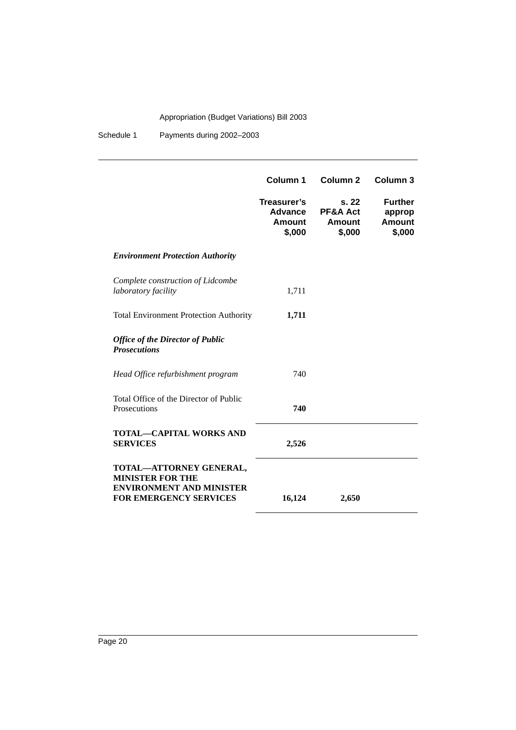Schedule 1 Payments during 2002–2003

|                                                                                                                        | Column 1                                          | Column <sub>2</sub>                          | Column <sub>3</sub>                                 |
|------------------------------------------------------------------------------------------------------------------------|---------------------------------------------------|----------------------------------------------|-----------------------------------------------------|
|                                                                                                                        | Treasurer's<br>Advance<br><b>Amount</b><br>\$,000 | s. 22<br>PF&A Act<br><b>Amount</b><br>\$,000 | <b>Further</b><br>approp<br><b>Amount</b><br>\$,000 |
| <b>Environment Protection Authority</b>                                                                                |                                                   |                                              |                                                     |
| Complete construction of Lidcombe<br>laboratory facility                                                               | 1,711                                             |                                              |                                                     |
| <b>Total Environment Protection Authority</b>                                                                          | 1,711                                             |                                              |                                                     |
| <b>Office of the Director of Public</b><br><b>Prosecutions</b>                                                         |                                                   |                                              |                                                     |
| Head Office refurbishment program                                                                                      | 740                                               |                                              |                                                     |
| Total Office of the Director of Public<br>Prosecutions                                                                 | 740                                               |                                              |                                                     |
| <b>TOTAL-CAPITAL WORKS AND</b><br><b>SERVICES</b>                                                                      | 2,526                                             |                                              |                                                     |
| TOTAL-ATTORNEY GENERAL,<br><b>MINISTER FOR THE</b><br><b>ENVIRONMENT AND MINISTER</b><br><b>FOR EMERGENCY SERVICES</b> | 16,124                                            | 2,650                                        |                                                     |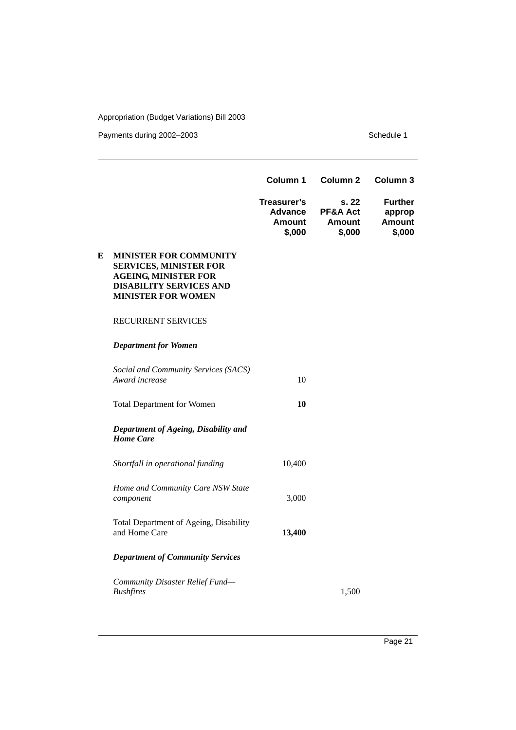Payments during 2002–2003 Schedule 1

|   |                                                                                                                                                       | Column 1                                          | Column <sub>2</sub>                          | Column <sub>3</sub>                                 |
|---|-------------------------------------------------------------------------------------------------------------------------------------------------------|---------------------------------------------------|----------------------------------------------|-----------------------------------------------------|
|   |                                                                                                                                                       | Treasurer's<br>Advance<br><b>Amount</b><br>\$,000 | s. 22<br>PF&A Act<br><b>Amount</b><br>\$,000 | <b>Further</b><br>approp<br><b>Amount</b><br>\$,000 |
| E | MINISTER FOR COMMUNITY<br><b>SERVICES, MINISTER FOR</b><br><b>AGEING, MINISTER FOR</b><br><b>DISABILITY SERVICES AND</b><br><b>MINISTER FOR WOMEN</b> |                                                   |                                              |                                                     |
|   | RECURRENT SERVICES                                                                                                                                    |                                                   |                                              |                                                     |
|   | <b>Department for Women</b>                                                                                                                           |                                                   |                                              |                                                     |
|   | Social and Community Services (SACS)<br>Award increase                                                                                                | 10                                                |                                              |                                                     |
|   | <b>Total Department for Women</b>                                                                                                                     | 10                                                |                                              |                                                     |
|   | Department of Ageing, Disability and<br><b>Home Care</b>                                                                                              |                                                   |                                              |                                                     |
|   | Shortfall in operational funding                                                                                                                      | 10,400                                            |                                              |                                                     |
|   | Home and Community Care NSW State<br>component                                                                                                        | 3,000                                             |                                              |                                                     |
|   | Total Department of Ageing, Disability<br>and Home Care                                                                                               | 13,400                                            |                                              |                                                     |
|   | <b>Department of Community Services</b>                                                                                                               |                                                   |                                              |                                                     |
|   | Community Disaster Relief Fund-<br><b>Bushfires</b>                                                                                                   |                                                   | 1.500                                        |                                                     |

Page 21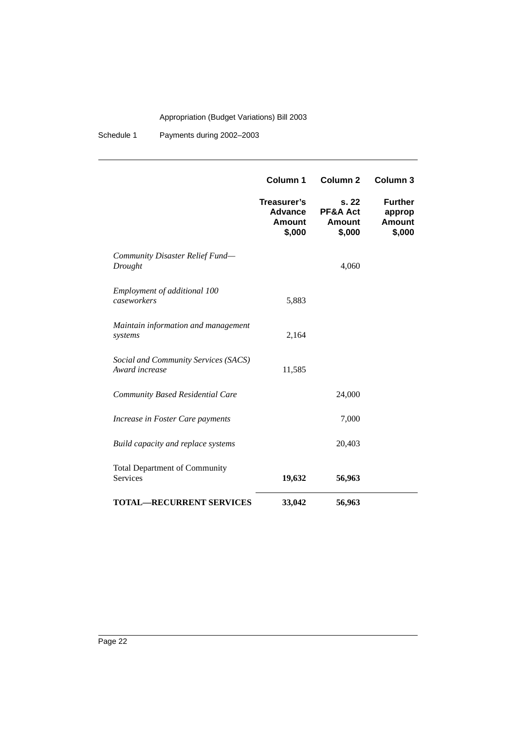Schedule 1 Payments during 2002–2003

|                                                        | Column 1                                          | <b>Column 2</b>                             | Column <sub>3</sub>                                 |
|--------------------------------------------------------|---------------------------------------------------|---------------------------------------------|-----------------------------------------------------|
|                                                        | Treasurer's<br>Advance<br><b>Amount</b><br>\$,000 | s.22<br>PF&A Act<br><b>Amount</b><br>\$,000 | <b>Further</b><br>approp<br><b>Amount</b><br>\$,000 |
| Community Disaster Relief Fund-<br>Drought             |                                                   | 4,060                                       |                                                     |
| Employment of additional 100<br>caseworkers            | 5,883                                             |                                             |                                                     |
| Maintain information and management<br>systems         | 2,164                                             |                                             |                                                     |
| Social and Community Services (SACS)<br>Award increase | 11,585                                            |                                             |                                                     |
| Community Based Residential Care                       |                                                   | 24,000                                      |                                                     |
| Increase in Foster Care payments                       |                                                   | 7,000                                       |                                                     |
| Build capacity and replace systems                     |                                                   | 20,403                                      |                                                     |
| <b>Total Department of Community</b><br>Services       | 19,632                                            | 56,963                                      |                                                     |
| <b>TOTAL-RECURRENT SERVICES</b>                        | 33,042                                            | 56,963                                      |                                                     |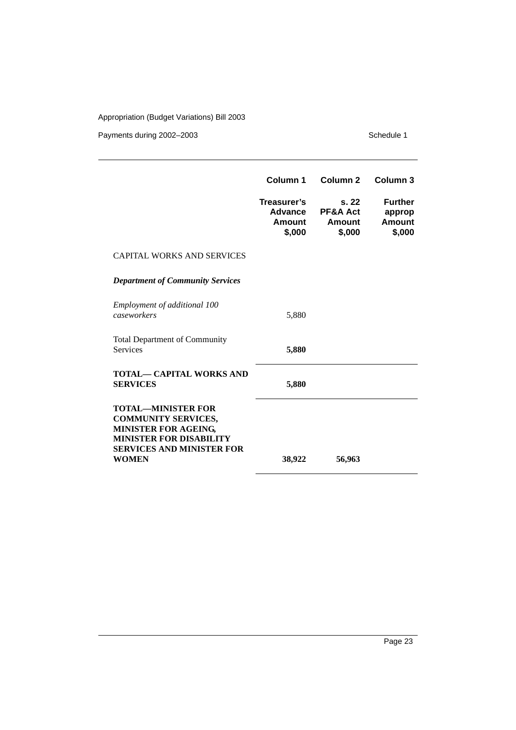|                                                                                                                                                                | Column 1                                          | Column <sub>2</sub>                  | Column 3                                            |
|----------------------------------------------------------------------------------------------------------------------------------------------------------------|---------------------------------------------------|--------------------------------------|-----------------------------------------------------|
|                                                                                                                                                                | Treasurer's<br><b>Advance</b><br>Amount<br>\$,000 | s.22<br>PF&A Act<br>Amount<br>\$,000 | <b>Further</b><br>approp<br><b>Amount</b><br>\$,000 |
| <b>CAPITAL WORKS AND SERVICES</b>                                                                                                                              |                                                   |                                      |                                                     |
| <b>Department of Community Services</b>                                                                                                                        |                                                   |                                      |                                                     |
| Employment of additional 100<br>caseworkers                                                                                                                    | 5,880                                             |                                      |                                                     |
| <b>Total Department of Community</b><br><b>Services</b>                                                                                                        | 5,880                                             |                                      |                                                     |
| TOTAL— CAPITAL WORKS AND<br><b>SERVICES</b>                                                                                                                    | 5,880                                             |                                      |                                                     |
| <b>TOTAL-MINISTER FOR</b><br><b>COMMUNITY SERVICES,</b><br>MINISTER FOR AGEING,<br><b>MINISTER FOR DISABILITY</b><br>SERVICES AND MINISTER FOR<br><b>WOMEN</b> | 38,922                                            | 56,963                               |                                                     |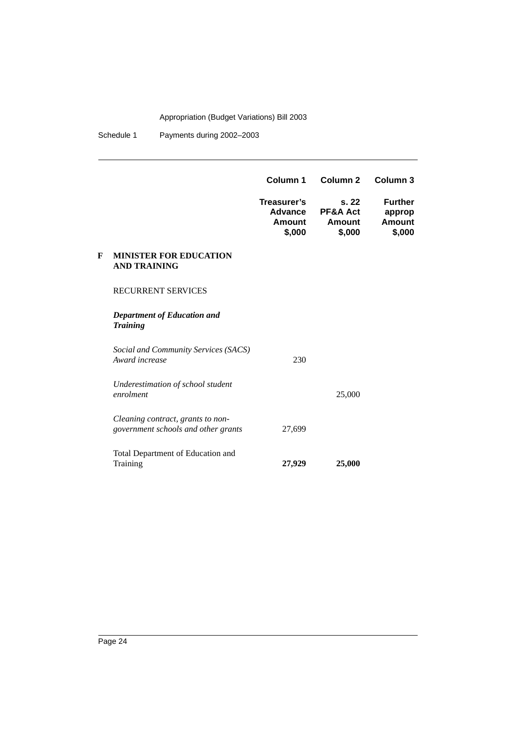Schedule 1 Payments during 2002–2003

|   |                                                                          | Column 1                                   | Column <sub>2</sub>                         | Column 3                                     |
|---|--------------------------------------------------------------------------|--------------------------------------------|---------------------------------------------|----------------------------------------------|
|   |                                                                          | Treasurer's<br>Advance<br>Amount<br>\$,000 | s.22<br>PF&A Act<br><b>Amount</b><br>\$,000 | <b>Further</b><br>approp<br>Amount<br>\$,000 |
| F | <b>MINISTER FOR EDUCATION</b><br><b>AND TRAINING</b>                     |                                            |                                             |                                              |
|   | <b>RECURRENT SERVICES</b>                                                |                                            |                                             |                                              |
|   | <b>Department of Education and</b><br><b>Training</b>                    |                                            |                                             |                                              |
|   | Social and Community Services (SACS)<br>Award increase                   | 230                                        |                                             |                                              |
|   | Underestimation of school student<br>enrolment                           |                                            | 25,000                                      |                                              |
|   | Cleaning contract, grants to non-<br>government schools and other grants | 27,699                                     |                                             |                                              |
|   | Total Department of Education and<br>Training                            | 27,929                                     | 25,000                                      |                                              |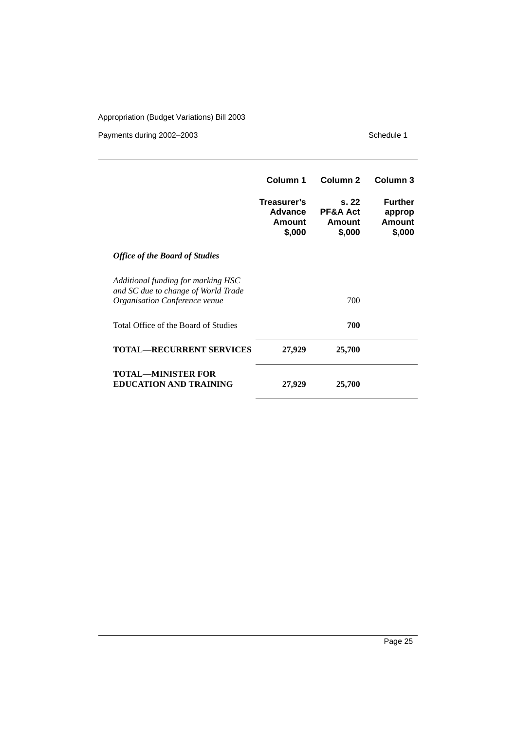|                                                                                                            | Column 1                                   | Column <sub>2</sub>                             | Column <sub>3</sub>                                 |
|------------------------------------------------------------------------------------------------------------|--------------------------------------------|-------------------------------------------------|-----------------------------------------------------|
|                                                                                                            | Treasurer's<br>Advance<br>Amount<br>\$,000 | s.22<br><b>PF&amp;A Act</b><br>Amount<br>\$,000 | <b>Further</b><br>approp<br><b>Amount</b><br>\$,000 |
| <b>Office of the Board of Studies</b>                                                                      |                                            |                                                 |                                                     |
| Additional funding for marking HSC<br>and SC due to change of World Trade<br>Organisation Conference venue |                                            | 700                                             |                                                     |
| Total Office of the Board of Studies                                                                       |                                            | 700                                             |                                                     |
| <b>TOTAL-RECURRENT SERVICES</b>                                                                            | 27,929                                     | 25,700                                          |                                                     |
| <b>TOTAL—MINISTER FOR</b><br><b>EDUCATION AND TRAINING</b>                                                 | 27,929                                     | 25,700                                          |                                                     |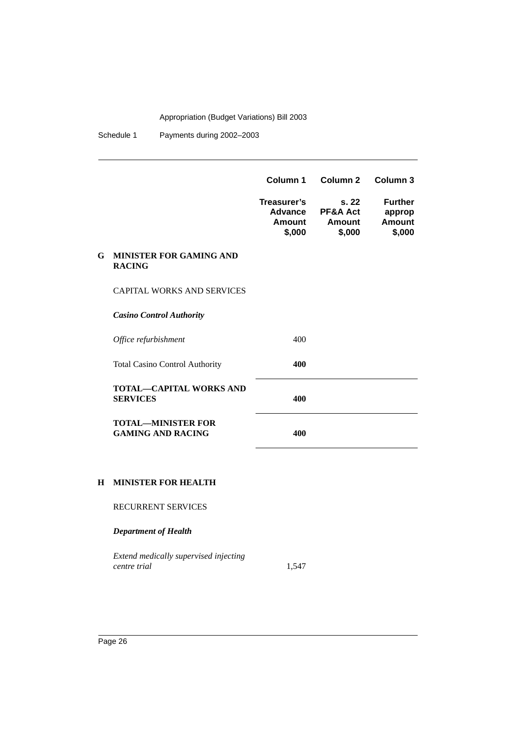Schedule 1 Payments during 2002-2003

|    |                                                       | Column 1                                   | Column <sub>2</sub>                  | Column 3                                     |
|----|-------------------------------------------------------|--------------------------------------------|--------------------------------------|----------------------------------------------|
|    |                                                       | Treasurer's<br>Advance<br>Amount<br>\$,000 | S.22<br>PF&A Act<br>Amount<br>\$,000 | <b>Further</b><br>approp<br>Amount<br>\$,000 |
| G. | <b>MINISTER FOR GAMING AND</b><br><b>RACING</b>       |                                            |                                      |                                              |
|    | <b>CAPITAL WORKS AND SERVICES</b>                     |                                            |                                      |                                              |
|    | <b>Casino Control Authority</b>                       |                                            |                                      |                                              |
|    | Office refurbishment                                  | 400                                        |                                      |                                              |
|    | <b>Total Casino Control Authority</b>                 | 400                                        |                                      |                                              |
|    | <b>TOTAL-CAPITAL WORKS AND</b><br><b>SERVICES</b>     | 400                                        |                                      |                                              |
|    | <b>TOTAL-MINISTER FOR</b><br><b>GAMING AND RACING</b> | 400                                        |                                      |                                              |
|    |                                                       |                                            |                                      |                                              |

#### **H MINISTER FOR HEALTH**

RECURRENT SERVICES

*Department of Health*

*Extend medically supervised injecting centre trial* 1,547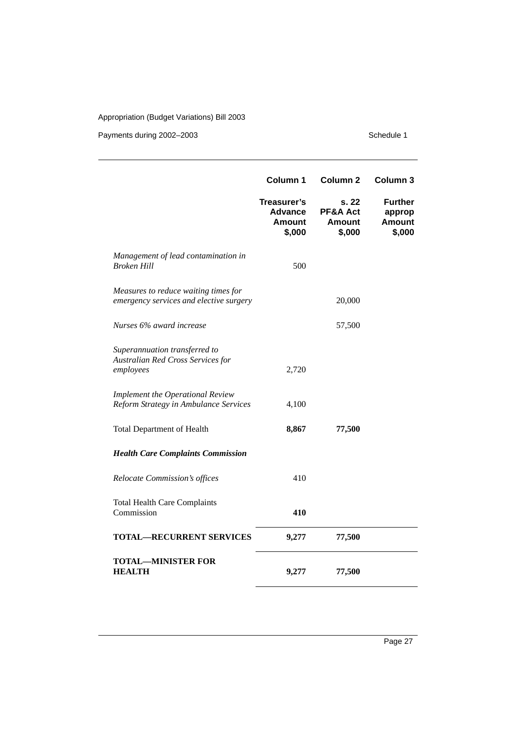|                                                                                  | Column 1                                                 | Column <sub>2</sub>                          | Column <sub>3</sub>                                 |
|----------------------------------------------------------------------------------|----------------------------------------------------------|----------------------------------------------|-----------------------------------------------------|
|                                                                                  | Treasurer's<br><b>Advance</b><br><b>Amount</b><br>\$,000 | s. 22<br>PF&A Act<br><b>Amount</b><br>\$,000 | <b>Further</b><br>approp<br><b>Amount</b><br>\$,000 |
| Management of lead contamination in<br><b>Broken Hill</b>                        | 500                                                      |                                              |                                                     |
| Measures to reduce waiting times for<br>emergency services and elective surgery  |                                                          | 20,000                                       |                                                     |
| Nurses 6% award increase                                                         |                                                          | 57,500                                       |                                                     |
| Superannuation transferred to<br>Australian Red Cross Services for<br>employees  | 2,720                                                    |                                              |                                                     |
| <b>Implement the Operational Review</b><br>Reform Strategy in Ambulance Services | 4,100                                                    |                                              |                                                     |
| <b>Total Department of Health</b>                                                | 8,867                                                    | 77,500                                       |                                                     |
| <b>Health Care Complaints Commission</b>                                         |                                                          |                                              |                                                     |
| Relocate Commission's offices                                                    | 410                                                      |                                              |                                                     |
| <b>Total Health Care Complaints</b><br>Commission                                | 410                                                      |                                              |                                                     |
| <b>TOTAL-RECURRENT SERVICES</b>                                                  | 9,277                                                    | 77,500                                       |                                                     |
| <b>TOTAL-MINISTER FOR</b><br><b>HEALTH</b>                                       | 9,277                                                    | 77,500                                       |                                                     |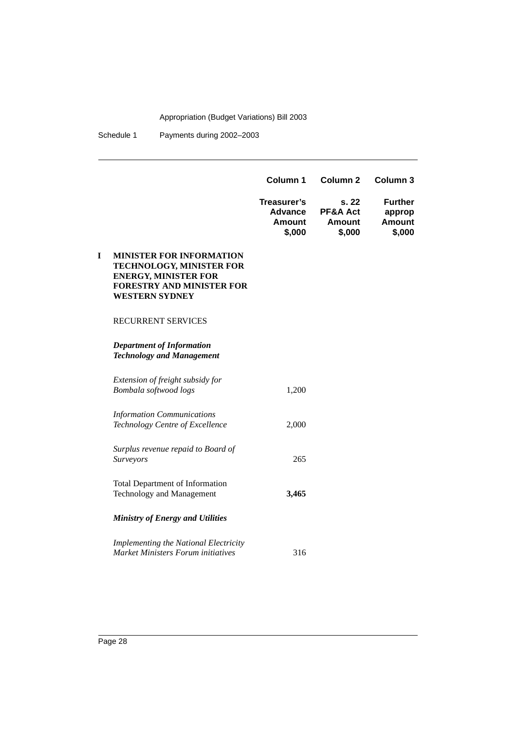Schedule 1 Payments during 2002–2003

|   |                                                                                                                                                         | Column 1                                          | Column <sub>2</sub>                         | Column <sub>3</sub>                          |
|---|---------------------------------------------------------------------------------------------------------------------------------------------------------|---------------------------------------------------|---------------------------------------------|----------------------------------------------|
|   |                                                                                                                                                         | Treasurer's<br>Advance<br><b>Amount</b><br>\$,000 | s.22<br>PF&A Act<br><b>Amount</b><br>\$,000 | <b>Further</b><br>approp<br>Amount<br>\$,000 |
| I | <b>MINISTER FOR INFORMATION</b><br>TECHNOLOGY, MINISTER FOR<br><b>ENERGY, MINISTER FOR</b><br><b>FORESTRY AND MINISTER FOR</b><br><b>WESTERN SYDNEY</b> |                                                   |                                             |                                              |
|   | <b>RECURRENT SERVICES</b>                                                                                                                               |                                                   |                                             |                                              |
|   | <b>Department of Information</b><br><b>Technology and Management</b>                                                                                    |                                                   |                                             |                                              |
|   | Extension of freight subsidy for<br>Bombala softwood logs                                                                                               | 1,200                                             |                                             |                                              |
|   | <b>Information Communications</b><br>Technology Centre of Excellence                                                                                    | 2,000                                             |                                             |                                              |
|   | Surplus revenue repaid to Board of<br>Surveyors                                                                                                         | 265                                               |                                             |                                              |
|   | <b>Total Department of Information</b><br><b>Technology and Management</b>                                                                              | 3,465                                             |                                             |                                              |
|   | <b>Ministry of Energy and Utilities</b>                                                                                                                 |                                                   |                                             |                                              |
|   | Implementing the National Electricity<br><b>Market Ministers Forum initiatives</b>                                                                      | 316                                               |                                             |                                              |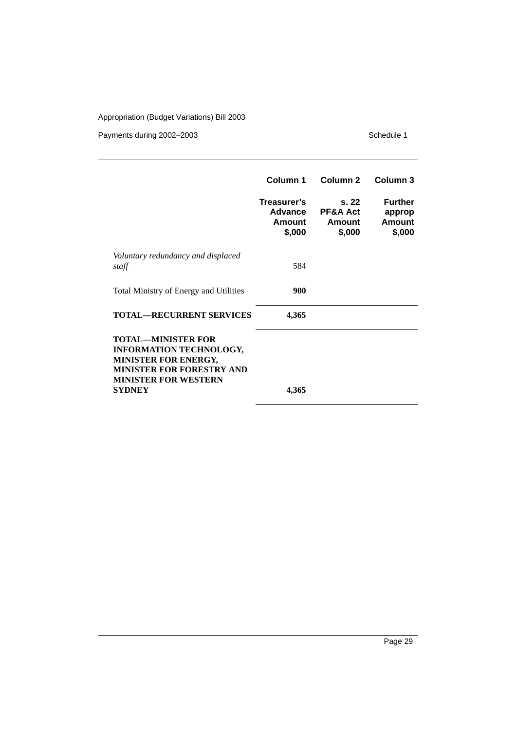|                                                                                                                                                                         | Column 1                                   | Column <sub>2</sub>                             | Column 3                                     |
|-------------------------------------------------------------------------------------------------------------------------------------------------------------------------|--------------------------------------------|-------------------------------------------------|----------------------------------------------|
|                                                                                                                                                                         | Treasurer's<br>Advance<br>Amount<br>\$,000 | s.22<br><b>PF&amp;A Act</b><br>Amount<br>\$,000 | <b>Further</b><br>approp<br>Amount<br>\$,000 |
| Voluntary redundancy and displaced<br>staff                                                                                                                             | 584                                        |                                                 |                                              |
| Total Ministry of Energy and Utilities                                                                                                                                  | 900                                        |                                                 |                                              |
| <b>TOTAL—RECURRENT SERVICES</b>                                                                                                                                         | 4,365                                      |                                                 |                                              |
| <b>TOTAL—MINISTER FOR</b><br><b>INFORMATION TECHNOLOGY,</b><br><b>MINISTER FOR ENERGY,</b><br><b>MINISTER FOR FORESTRY AND</b><br><b>MINISTER FOR WESTERN</b><br>SYDNEY | 4,365                                      |                                                 |                                              |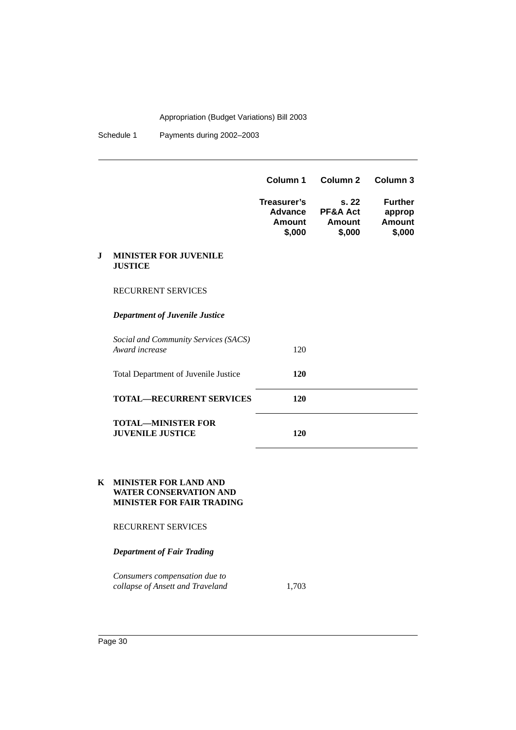Schedule 1 Payments during 2002-2003

|   |                                                        | Column 1                                          | Column <sub>2</sub>                  | Column <sub>3</sub>                          |
|---|--------------------------------------------------------|---------------------------------------------------|--------------------------------------|----------------------------------------------|
|   |                                                        | Treasurer's<br><b>Advance</b><br>Amount<br>\$,000 | s.22<br>PF&A Act<br>Amount<br>\$,000 | <b>Further</b><br>approp<br>Amount<br>\$,000 |
| J | <b>MINISTER FOR JUVENILE</b><br><b>JUSTICE</b>         |                                                   |                                      |                                              |
|   | <b>RECURRENT SERVICES</b>                              |                                                   |                                      |                                              |
|   | <b>Department of Juvenile Justice</b>                  |                                                   |                                      |                                              |
|   | Social and Community Services (SACS)<br>Award increase | 120                                               |                                      |                                              |
|   | Total Department of Juvenile Justice                   | <b>120</b>                                        |                                      |                                              |
|   | <b>TOTAL—RECURRENT SERVICES</b>                        | <b>120</b>                                        |                                      |                                              |
|   | <b>TOTAL—MINISTER FOR</b><br><b>JUVENILE JUSTICE</b>   | 120                                               |                                      |                                              |

#### **K MINISTER FOR LAND AND WATER CONSERVATION AND MINISTER FOR FAIR TRADING**

#### RECURRENT SERVICES

#### *Department of Fair Trading*

*Consumers compensation due to collapse of Ansett and Traveland* 1,703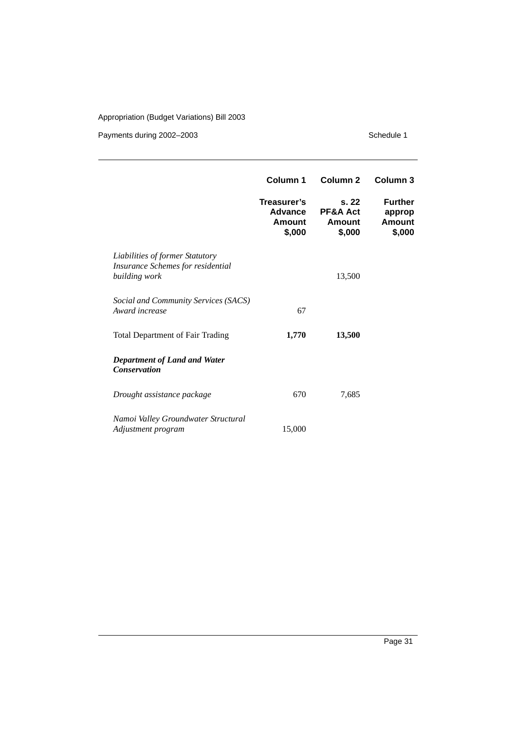|                                                                                       | Column 1                                          | Column <sub>2</sub>                  | <b>Column 3</b>                              |
|---------------------------------------------------------------------------------------|---------------------------------------------------|--------------------------------------|----------------------------------------------|
|                                                                                       | Treasurer's<br><b>Advance</b><br>Amount<br>\$,000 | s.22<br>PF&A Act<br>Amount<br>\$,000 | <b>Further</b><br>approp<br>Amount<br>\$,000 |
| Liabilities of former Statutory<br>Insurance Schemes for residential<br>building work |                                                   | 13,500                               |                                              |
| Social and Community Services (SACS)<br>Award increase                                | 67                                                |                                      |                                              |
| <b>Total Department of Fair Trading</b>                                               | 1,770                                             | 13,500                               |                                              |
| <b>Department of Land and Water</b><br><b>Conservation</b>                            |                                                   |                                      |                                              |
| Drought assistance package                                                            | 670                                               | 7,685                                |                                              |
| Namoi Valley Groundwater Structural<br>Adjustment program                             | 15,000                                            |                                      |                                              |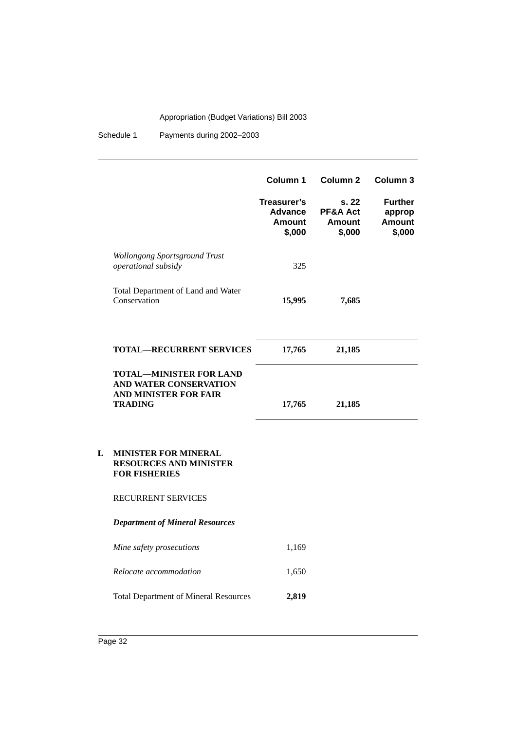Schedule 1 Payments during 2002–2003

|   |                                                                                                            | Column 1<br>Treasurer's<br><b>Advance</b><br><b>Amount</b><br>\$,000 | Column <sub>2</sub><br>s. 22<br>PF&A Act<br><b>Amount</b><br>\$,000 | Column 3<br><b>Further</b><br>approp<br><b>Amount</b><br>\$,000 |
|---|------------------------------------------------------------------------------------------------------------|----------------------------------------------------------------------|---------------------------------------------------------------------|-----------------------------------------------------------------|
|   | Wollongong Sportsground Trust<br>operational subsidy                                                       | 325                                                                  |                                                                     |                                                                 |
|   | Total Department of Land and Water<br>Conservation                                                         | 15,995                                                               | 7,685                                                               |                                                                 |
|   | <b>TOTAL-RECURRENT SERVICES</b>                                                                            | 17,765                                                               | 21,185                                                              |                                                                 |
|   | <b>TOTAL-MINISTER FOR LAND</b><br>AND WATER CONSERVATION<br><b>AND MINISTER FOR FAIR</b><br><b>TRADING</b> | 17,765                                                               | 21,185                                                              |                                                                 |
| L | <b>MINISTER FOR MINERAL</b><br><b>RESOURCES AND MINISTER</b><br><b>FOR FISHERIES</b>                       |                                                                      |                                                                     |                                                                 |
|   | RECURRENT SERVICES                                                                                         |                                                                      |                                                                     |                                                                 |
|   | <b>Department of Mineral Resources</b>                                                                     |                                                                      |                                                                     |                                                                 |
|   | Mine safety prosecutions                                                                                   | 1,169                                                                |                                                                     |                                                                 |
|   | Relocate accommodation                                                                                     | 1,650                                                                |                                                                     |                                                                 |
|   | <b>Total Department of Mineral Resources</b>                                                               | 2,819                                                                |                                                                     |                                                                 |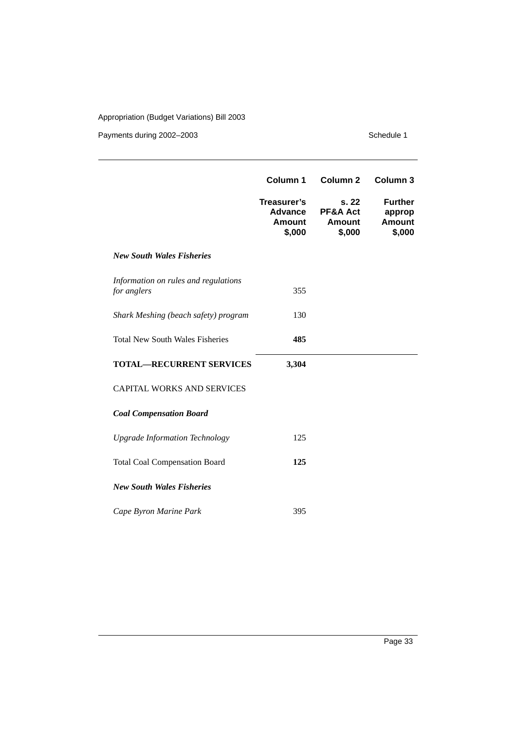|                                                     | Column 1                                   | Column <sub>2</sub>                         | Column <sub>3</sub>                                 |
|-----------------------------------------------------|--------------------------------------------|---------------------------------------------|-----------------------------------------------------|
|                                                     | Treasurer's<br>Advance<br>Amount<br>\$,000 | s.22<br>PF&A Act<br><b>Amount</b><br>\$,000 | <b>Further</b><br>approp<br><b>Amount</b><br>\$,000 |
| <b>New South Wales Fisheries</b>                    |                                            |                                             |                                                     |
| Information on rules and regulations<br>for anglers | 355                                        |                                             |                                                     |
| Shark Meshing (beach safety) program                | 130                                        |                                             |                                                     |
| <b>Total New South Wales Fisheries</b>              | 485                                        |                                             |                                                     |
| <b>TOTAL-RECURRENT SERVICES</b>                     | 3,304                                      |                                             |                                                     |
| <b>CAPITAL WORKS AND SERVICES</b>                   |                                            |                                             |                                                     |
| <b>Coal Compensation Board</b>                      |                                            |                                             |                                                     |
| <b>Upgrade Information Technology</b>               | 125                                        |                                             |                                                     |
| <b>Total Coal Compensation Board</b>                | 125                                        |                                             |                                                     |
| <b>New South Wales Fisheries</b>                    |                                            |                                             |                                                     |
| Cape Byron Marine Park                              | 395                                        |                                             |                                                     |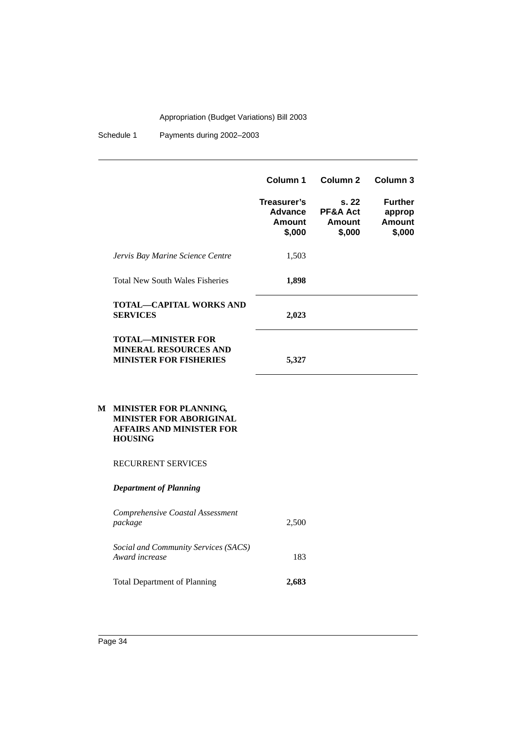Schedule 1 Payments during 2002-2003

|                                                                                            | Column 1                                   | Column 2                                        | Column 3                                     |
|--------------------------------------------------------------------------------------------|--------------------------------------------|-------------------------------------------------|----------------------------------------------|
|                                                                                            | Treasurer's<br>Advance<br>Amount<br>\$,000 | s.22<br><b>PF&amp;A Act</b><br>Amount<br>\$,000 | <b>Further</b><br>approp<br>Amount<br>\$,000 |
| Jervis Bay Marine Science Centre                                                           | 1,503                                      |                                                 |                                              |
| <b>Total New South Wales Fisheries</b>                                                     | 1,898                                      |                                                 |                                              |
| <b>TOTAL—CAPITAL WORKS AND</b><br><b>SERVICES</b>                                          | 2,023                                      |                                                 |                                              |
| <b>TOTAL—MINISTER FOR</b><br><b>MINERAL RESOURCES AND</b><br><b>MINISTER FOR FISHERIES</b> | 5,327                                      |                                                 |                                              |

#### **M MINISTER FOR PLANNING, MINISTER FOR ABORIGINAL AFFAIRS AND MINISTER FOR HOUSING**

RECURRENT SERVICES

#### *Department of Planning*

| Comprehensive Coastal Assessment<br>package            | 2,500 |
|--------------------------------------------------------|-------|
| Social and Community Services (SACS)<br>Award increase | 183   |
| <b>Total Department of Planning</b>                    | 2,683 |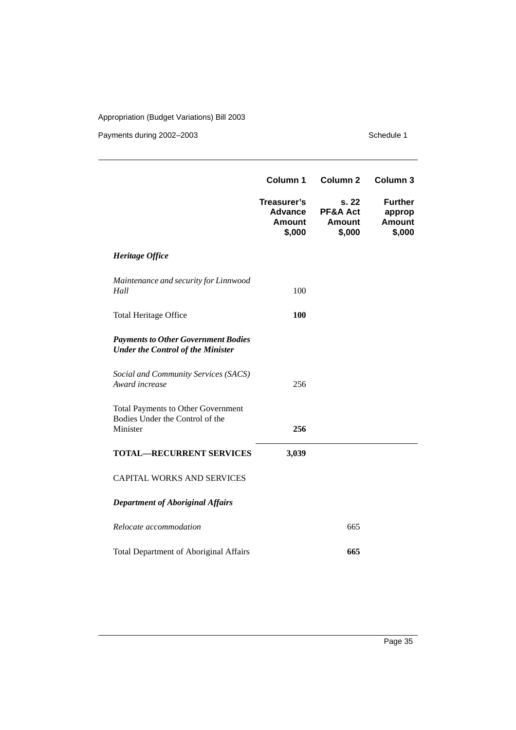|                                                                                          | Column 1                                                 | Column <sub>2</sub>                          | Column <sub>3</sub>                                 |
|------------------------------------------------------------------------------------------|----------------------------------------------------------|----------------------------------------------|-----------------------------------------------------|
|                                                                                          | Treasurer's<br><b>Advance</b><br><b>Amount</b><br>\$,000 | s. 22<br>PF&A Act<br><b>Amount</b><br>\$,000 | <b>Further</b><br>approp<br><b>Amount</b><br>\$,000 |
| Heritage Office                                                                          |                                                          |                                              |                                                     |
| Maintenance and security for Linnwood<br>Hall                                            | 100                                                      |                                              |                                                     |
| <b>Total Heritage Office</b>                                                             | 100                                                      |                                              |                                                     |
| <b>Payments to Other Government Bodies</b><br><b>Under the Control of the Minister</b>   |                                                          |                                              |                                                     |
| Social and Community Services (SACS)<br>Award increase                                   | 256                                                      |                                              |                                                     |
| <b>Total Payments to Other Government</b><br>Bodies Under the Control of the<br>Minister | 256                                                      |                                              |                                                     |
| <b>TOTAL-RECURRENT SERVICES</b>                                                          | 3,039                                                    |                                              |                                                     |
| <b>CAPITAL WORKS AND SERVICES</b>                                                        |                                                          |                                              |                                                     |
| <b>Department of Aboriginal Affairs</b>                                                  |                                                          |                                              |                                                     |
| Relocate accommodation                                                                   |                                                          | 665                                          |                                                     |
| <b>Total Department of Aboriginal Affairs</b>                                            |                                                          | 665                                          |                                                     |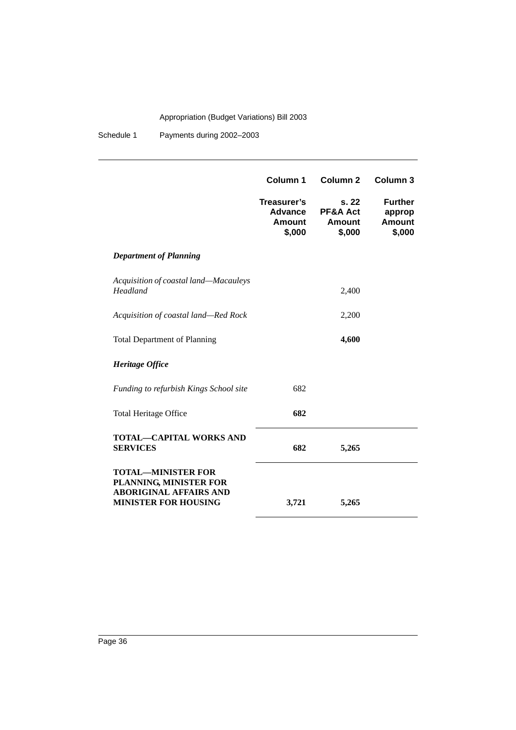Schedule 1 Payments during 2002–2003

|                                                                                                                     | Column 1                                          | Column <sub>2</sub>                         | Column <sub>3</sub>                                 |
|---------------------------------------------------------------------------------------------------------------------|---------------------------------------------------|---------------------------------------------|-----------------------------------------------------|
|                                                                                                                     | Treasurer's<br>Advance<br><b>Amount</b><br>\$,000 | s.22<br>PF&A Act<br><b>Amount</b><br>\$,000 | <b>Further</b><br>approp<br><b>Amount</b><br>\$,000 |
| <b>Department of Planning</b>                                                                                       |                                                   |                                             |                                                     |
| Acquisition of coastal land-Macauleys<br>Headland                                                                   |                                                   | 2,400                                       |                                                     |
| Acquisition of coastal land-Red Rock                                                                                |                                                   | 2,200                                       |                                                     |
| <b>Total Department of Planning</b>                                                                                 |                                                   | 4,600                                       |                                                     |
| Heritage Office                                                                                                     |                                                   |                                             |                                                     |
| Funding to refurbish Kings School site                                                                              | 682                                               |                                             |                                                     |
| <b>Total Heritage Office</b>                                                                                        | 682                                               |                                             |                                                     |
| <b>TOTAL-CAPITAL WORKS AND</b><br><b>SERVICES</b>                                                                   | 682                                               | 5,265                                       |                                                     |
| <b>TOTAL-MINISTER FOR</b><br>PLANNING, MINISTER FOR<br><b>ABORIGINAL AFFAIRS AND</b><br><b>MINISTER FOR HOUSING</b> | 3,721                                             | 5,265                                       |                                                     |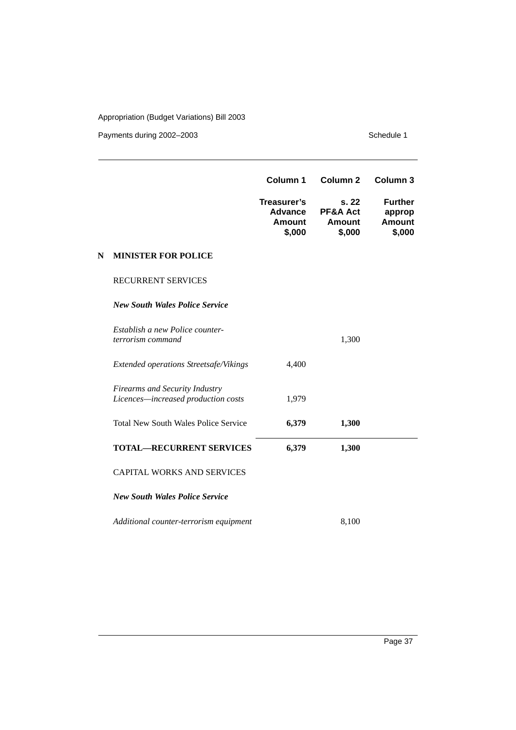|   |                                                                              | Column 1                                                 | Column <sub>2</sub>                          | Column 3                                            |
|---|------------------------------------------------------------------------------|----------------------------------------------------------|----------------------------------------------|-----------------------------------------------------|
|   |                                                                              | Treasurer's<br><b>Advance</b><br><b>Amount</b><br>\$,000 | s. 22<br>PF&A Act<br><b>Amount</b><br>\$,000 | <b>Further</b><br>approp<br><b>Amount</b><br>\$,000 |
| N | <b>MINISTER FOR POLICE</b>                                                   |                                                          |                                              |                                                     |
|   | <b>RECURRENT SERVICES</b>                                                    |                                                          |                                              |                                                     |
|   | <b>New South Wales Police Service</b>                                        |                                                          |                                              |                                                     |
|   | Establish a new Police counter-<br>terrorism command                         |                                                          | 1,300                                        |                                                     |
|   | Extended operations Streetsafe/Vikings                                       | 4,400                                                    |                                              |                                                     |
|   | <b>Firearms and Security Industry</b><br>Licences-increased production costs | 1,979                                                    |                                              |                                                     |
|   | <b>Total New South Wales Police Service</b>                                  | 6,379                                                    | 1,300                                        |                                                     |
|   | <b>TOTAL-RECURRENT SERVICES</b>                                              | 6,379                                                    | 1,300                                        |                                                     |
|   | <b>CAPITAL WORKS AND SERVICES</b>                                            |                                                          |                                              |                                                     |
|   | <b>New South Wales Police Service</b>                                        |                                                          |                                              |                                                     |
|   | Additional counter-terrorism equipment                                       |                                                          | 8,100                                        |                                                     |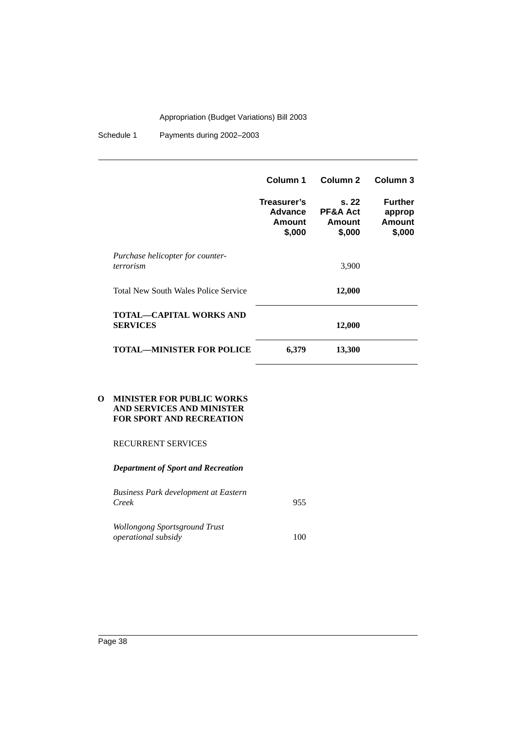Schedule 1 Payments during 2002-2003

|                                                   | Column 1                                          | Column <sub>2</sub>                              | Column <sub>3</sub>                          |
|---------------------------------------------------|---------------------------------------------------|--------------------------------------------------|----------------------------------------------|
|                                                   | Treasurer's<br><b>Advance</b><br>Amount<br>\$,000 | s. 22<br><b>PF&amp;A Act</b><br>Amount<br>\$,000 | <b>Further</b><br>approp<br>Amount<br>\$,000 |
| Purchase helicopter for counter-<br>terrorism     |                                                   | 3,900                                            |                                              |
| <b>Total New South Wales Police Service</b>       |                                                   | 12,000                                           |                                              |
| <b>TOTAL—CAPITAL WORKS AND</b><br><b>SERVICES</b> |                                                   | 12,000                                           |                                              |
| TOTAL—MINISTER FOR POLICE                         | 6,379                                             | 13,300                                           |                                              |

#### **O MINISTER FOR PUBLIC WORKS AND SERVICES AND MINISTER FOR SPORT AND RECREATION**

#### RECURRENT SERVICES

*Department of Sport and Recreation*

| Business Park development at Eastern |     |
|--------------------------------------|-----|
| Creek                                | 955 |
| Wollongong Sportsground Trust        |     |
| <i>operational subsidy</i>           | 100 |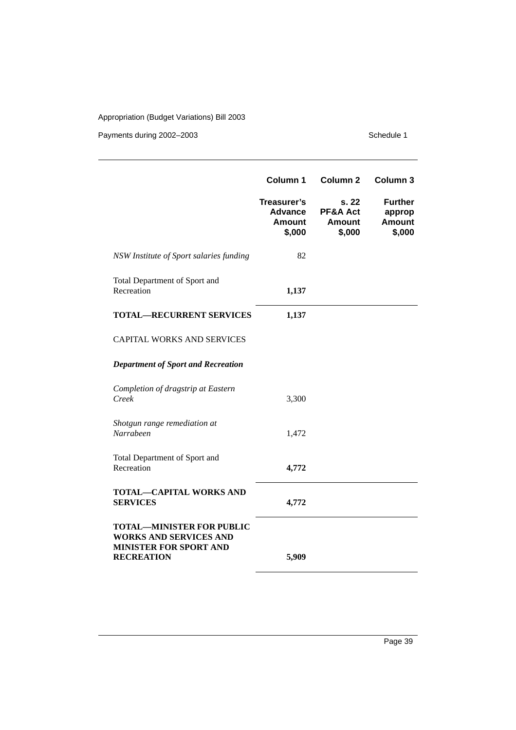|                                                                                                                         | Column 1                                                 | Column <sub>2</sub>                          | Column 3                                            |
|-------------------------------------------------------------------------------------------------------------------------|----------------------------------------------------------|----------------------------------------------|-----------------------------------------------------|
|                                                                                                                         | Treasurer's<br><b>Advance</b><br><b>Amount</b><br>\$,000 | s. 22<br>PF&A Act<br><b>Amount</b><br>\$,000 | <b>Further</b><br>approp<br><b>Amount</b><br>\$,000 |
| NSW Institute of Sport salaries funding                                                                                 | 82                                                       |                                              |                                                     |
| Total Department of Sport and<br>Recreation                                                                             | 1,137                                                    |                                              |                                                     |
| <b>TOTAL-RECURRENT SERVICES</b>                                                                                         | 1,137                                                    |                                              |                                                     |
| <b>CAPITAL WORKS AND SERVICES</b>                                                                                       |                                                          |                                              |                                                     |
| <b>Department of Sport and Recreation</b>                                                                               |                                                          |                                              |                                                     |
| Completion of dragstrip at Eastern<br>Creek                                                                             | 3,300                                                    |                                              |                                                     |
| Shotgun range remediation at<br>Narrabeen                                                                               | 1,472                                                    |                                              |                                                     |
| Total Department of Sport and<br>Recreation                                                                             | 4,772                                                    |                                              |                                                     |
| <b>TOTAL-CAPITAL WORKS AND</b><br><b>SERVICES</b>                                                                       | 4,772                                                    |                                              |                                                     |
| <b>TOTAL-MINISTER FOR PUBLIC</b><br><b>WORKS AND SERVICES AND</b><br><b>MINISTER FOR SPORT AND</b><br><b>RECREATION</b> | 5,909                                                    |                                              |                                                     |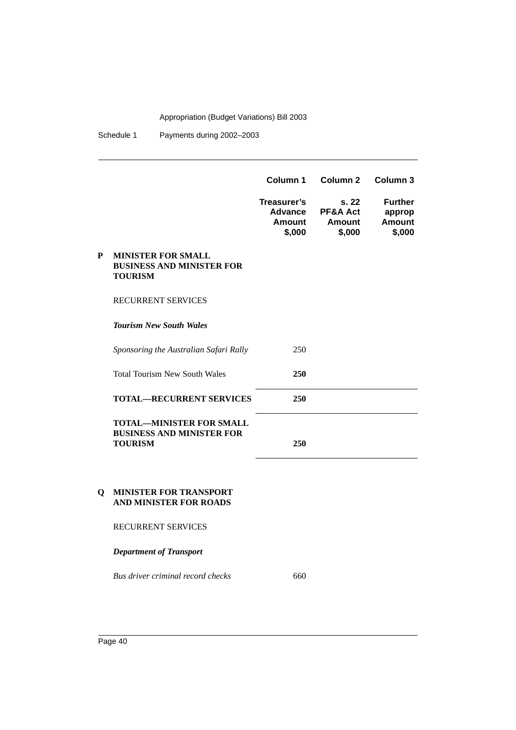Schedule 1 Payments during 2002-2003

|   |                                                                                       | Column 1                                          | Column 2                                        | Column 3                                     |
|---|---------------------------------------------------------------------------------------|---------------------------------------------------|-------------------------------------------------|----------------------------------------------|
|   |                                                                                       | Treasurer's<br><b>Advance</b><br>Amount<br>\$,000 | s.22<br><b>PF&amp;A Act</b><br>Amount<br>\$,000 | <b>Further</b><br>approp<br>Amount<br>\$,000 |
| P | <b>MINISTER FOR SMALL</b><br><b>BUSINESS AND MINISTER FOR</b><br><b>TOURISM</b>       |                                                   |                                                 |                                              |
|   | <b>RECURRENT SERVICES</b>                                                             |                                                   |                                                 |                                              |
|   | <b>Tourism New South Wales</b>                                                        |                                                   |                                                 |                                              |
|   | Sponsoring the Australian Safari Rally                                                | 250                                               |                                                 |                                              |
|   | <b>Total Tourism New South Wales</b>                                                  | 250                                               |                                                 |                                              |
|   | <b>TOTAL—RECURRENT SERVICES</b>                                                       | 250                                               |                                                 |                                              |
|   | <b>TOTAL-MINISTER FOR SMALL</b><br><b>BUSINESS AND MINISTER FOR</b><br><b>TOURISM</b> | 250                                               |                                                 |                                              |

#### **Q MINISTER FOR TRANSPORT AND MINISTER FOR ROADS**

RECURRENT SERVICES

*Department of Transport*

*Bus driver criminal record checks* 660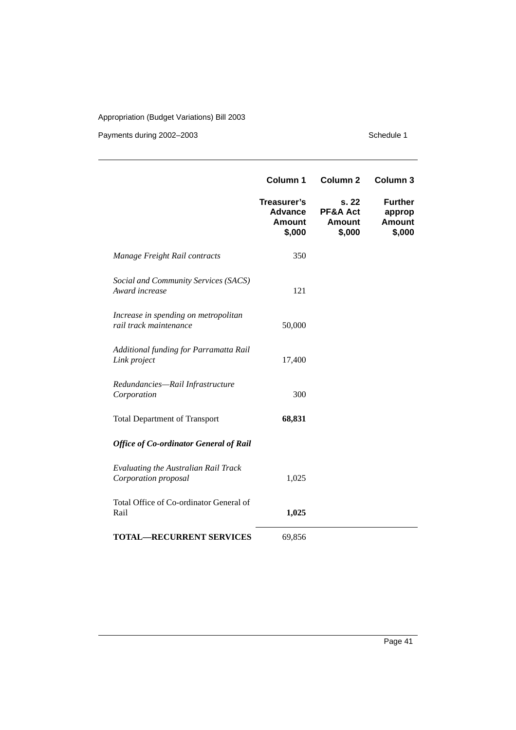|                                                                | Column 1                                                 | Column <sub>2</sub>                                     | Column 3                                            |
|----------------------------------------------------------------|----------------------------------------------------------|---------------------------------------------------------|-----------------------------------------------------|
|                                                                | Treasurer's<br><b>Advance</b><br><b>Amount</b><br>\$,000 | s. 22<br><b>PF&amp;A Act</b><br><b>Amount</b><br>\$,000 | <b>Further</b><br>approp<br><b>Amount</b><br>\$,000 |
| Manage Freight Rail contracts                                  | 350                                                      |                                                         |                                                     |
| Social and Community Services (SACS)<br>Award increase         | 121                                                      |                                                         |                                                     |
| Increase in spending on metropolitan<br>rail track maintenance | 50,000                                                   |                                                         |                                                     |
| Additional funding for Parramatta Rail<br>Link project         | 17,400                                                   |                                                         |                                                     |
| Redundancies-Rail Infrastructure<br>Corporation                | 300                                                      |                                                         |                                                     |
| <b>Total Department of Transport</b>                           | 68,831                                                   |                                                         |                                                     |
| <b>Office of Co-ordinator General of Rail</b>                  |                                                          |                                                         |                                                     |
| Evaluating the Australian Rail Track<br>Corporation proposal   | 1,025                                                    |                                                         |                                                     |
| Total Office of Co-ordinator General of<br>Rail                | 1,025                                                    |                                                         |                                                     |
| <b>TOTAL-RECURRENT SERVICES</b>                                | 69,856                                                   |                                                         |                                                     |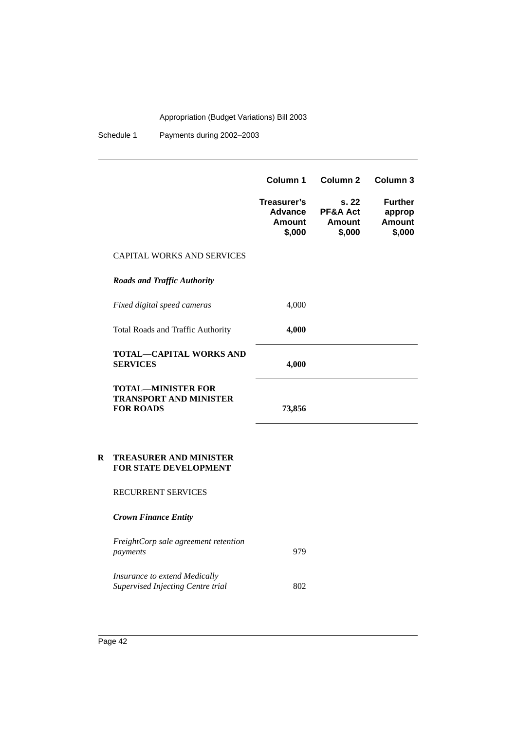Schedule 1 Payments during 2002–2003

|   |                                                                                | Column 1                                                 | Column <sub>2</sub>                          | Column <sub>3</sub>                                 |
|---|--------------------------------------------------------------------------------|----------------------------------------------------------|----------------------------------------------|-----------------------------------------------------|
|   |                                                                                | Treasurer's<br><b>Advance</b><br><b>Amount</b><br>\$,000 | s. 22<br>PF&A Act<br><b>Amount</b><br>\$,000 | <b>Further</b><br>approp<br><b>Amount</b><br>\$,000 |
|   | <b>CAPITAL WORKS AND SERVICES</b>                                              |                                                          |                                              |                                                     |
|   | <b>Roads and Traffic Authority</b>                                             |                                                          |                                              |                                                     |
|   | Fixed digital speed cameras                                                    | 4,000                                                    |                                              |                                                     |
|   | Total Roads and Traffic Authority                                              | 4,000                                                    |                                              |                                                     |
|   | <b>TOTAL-CAPITAL WORKS AND</b><br><b>SERVICES</b>                              | 4,000                                                    |                                              |                                                     |
|   | <b>TOTAL-MINISTER FOR</b><br><b>TRANSPORT AND MINISTER</b><br><b>FOR ROADS</b> | 73,856                                                   |                                              |                                                     |
| R | <b>TREASURER AND MINISTER</b><br><b>FOR STATE DEVELOPMENT</b>                  |                                                          |                                              |                                                     |
|   | <b>RECURRENT SERVICES</b>                                                      |                                                          |                                              |                                                     |
|   | <b>Crown Finance Entity</b>                                                    |                                                          |                                              |                                                     |
|   | FreightCorp sale agreement retention<br>payments                               | 979                                                      |                                              |                                                     |

*Insurance to extend Medically Supervised Injecting Centre trial* 602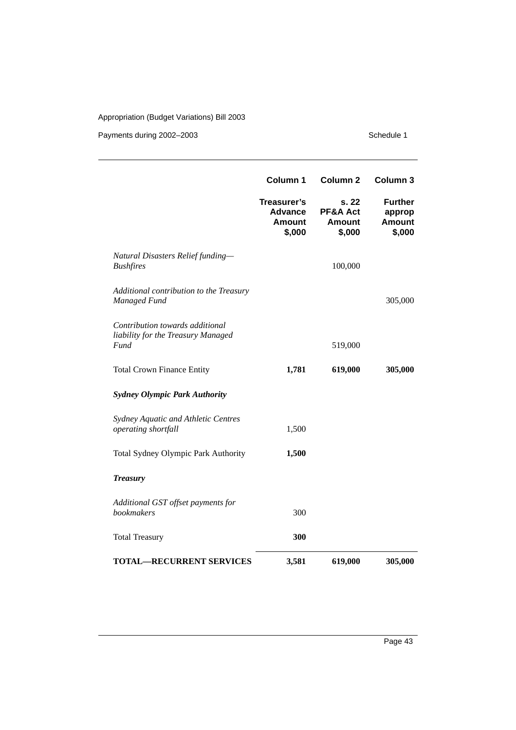|                                                                                      | Column 1                                                 | Column <sub>2</sub>                          | Column 3                                            |
|--------------------------------------------------------------------------------------|----------------------------------------------------------|----------------------------------------------|-----------------------------------------------------|
|                                                                                      | Treasurer's<br><b>Advance</b><br><b>Amount</b><br>\$,000 | s. 22<br>PF&A Act<br><b>Amount</b><br>\$,000 | <b>Further</b><br>approp<br><b>Amount</b><br>\$,000 |
| Natural Disasters Relief funding-<br><b>Bushfires</b>                                |                                                          | 100,000                                      |                                                     |
| Additional contribution to the Treasury<br>Managed Fund                              |                                                          |                                              | 305,000                                             |
| Contribution towards additional<br>liability for the Treasury Managed<br><b>Fund</b> |                                                          | 519,000                                      |                                                     |
| <b>Total Crown Finance Entity</b>                                                    | 1,781                                                    | 619,000                                      | 305,000                                             |
| <b>Sydney Olympic Park Authority</b>                                                 |                                                          |                                              |                                                     |
| Sydney Aquatic and Athletic Centres<br>operating shortfall                           | 1,500                                                    |                                              |                                                     |
| Total Sydney Olympic Park Authority                                                  | 1,500                                                    |                                              |                                                     |
| <b>Treasury</b>                                                                      |                                                          |                                              |                                                     |
| Additional GST offset payments for<br><b>bookmakers</b>                              | 300                                                      |                                              |                                                     |
| <b>Total Treasury</b>                                                                | 300                                                      |                                              |                                                     |
| <b>TOTAL-RECURRENT SERVICES</b>                                                      | 3,581                                                    | 619,000                                      | 305,000                                             |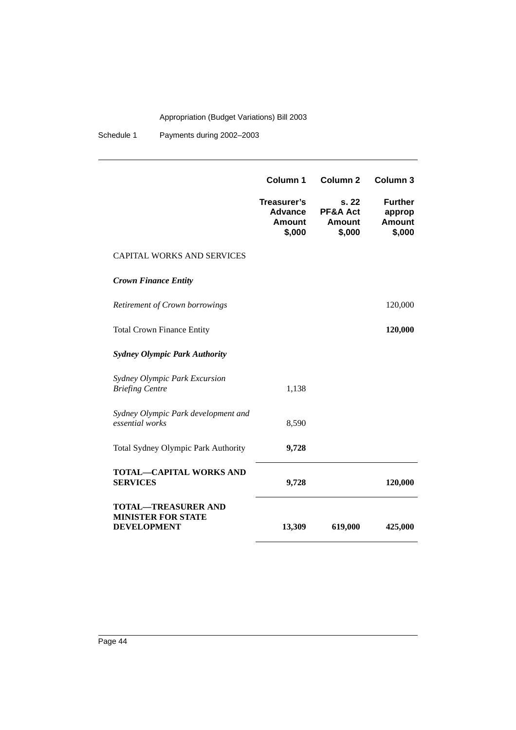Schedule 1 Payments during 2002–2003

|                                                                               | <b>Column 1</b>                                          | Column <sub>2</sub>                                     | Column <sub>3</sub>                                 |
|-------------------------------------------------------------------------------|----------------------------------------------------------|---------------------------------------------------------|-----------------------------------------------------|
|                                                                               | Treasurer's<br><b>Advance</b><br><b>Amount</b><br>\$,000 | s. 22<br><b>PF&amp;A Act</b><br><b>Amount</b><br>\$,000 | <b>Further</b><br>approp<br><b>Amount</b><br>\$,000 |
| <b>CAPITAL WORKS AND SERVICES</b>                                             |                                                          |                                                         |                                                     |
| <b>Crown Finance Entity</b>                                                   |                                                          |                                                         |                                                     |
| Retirement of Crown borrowings                                                |                                                          |                                                         | 120,000                                             |
| <b>Total Crown Finance Entity</b>                                             |                                                          |                                                         | 120,000                                             |
| <b>Sydney Olympic Park Authority</b>                                          |                                                          |                                                         |                                                     |
| Sydney Olympic Park Excursion<br><b>Briefing Centre</b>                       | 1,138                                                    |                                                         |                                                     |
| Sydney Olympic Park development and<br>essential works                        | 8,590                                                    |                                                         |                                                     |
| Total Sydney Olympic Park Authority                                           | 9,728                                                    |                                                         |                                                     |
| <b>TOTAL-CAPITAL WORKS AND</b><br><b>SERVICES</b>                             | 9,728                                                    |                                                         | 120,000                                             |
| <b>TOTAL-TREASURER AND</b><br><b>MINISTER FOR STATE</b><br><b>DEVELOPMENT</b> | 13,309                                                   | 619,000                                                 | 425,000                                             |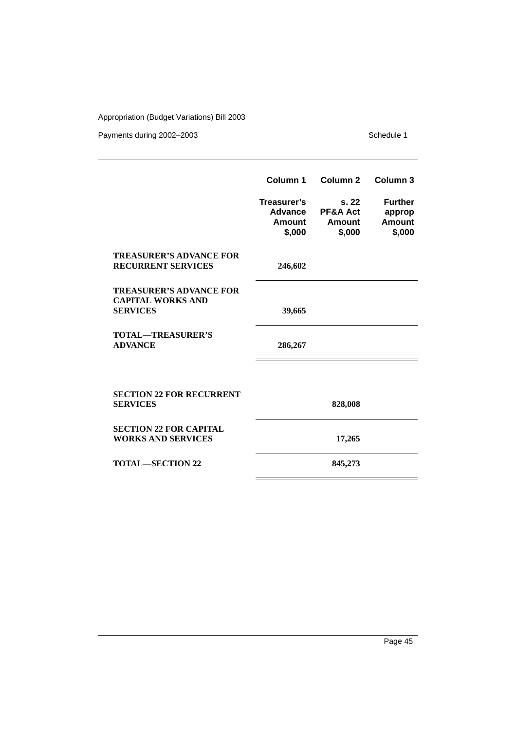|                                                                               | Column 1                                          | Column <sub>2</sub>                                     | Column 3                                     |
|-------------------------------------------------------------------------------|---------------------------------------------------|---------------------------------------------------------|----------------------------------------------|
|                                                                               | Treasurer's<br><b>Advance</b><br>Amount<br>\$,000 | s. 22<br><b>PF&amp;A Act</b><br><b>Amount</b><br>\$,000 | <b>Further</b><br>approp<br>Amount<br>\$,000 |
| <b>TREASURER'S ADVANCE FOR</b><br><b>RECURRENT SERVICES</b>                   | 246,602                                           |                                                         |                                              |
| <b>TREASURER'S ADVANCE FOR</b><br><b>CAPITAL WORKS AND</b><br><b>SERVICES</b> | 39,665                                            |                                                         |                                              |
| <b>TOTAL-TREASURER'S</b><br><b>ADVANCE</b>                                    | 286,267                                           |                                                         |                                              |
|                                                                               |                                                   |                                                         |                                              |
| <b>SECTION 22 FOR RECURRENT</b><br><b>SERVICES</b>                            |                                                   | 828,008                                                 |                                              |
| <b>SECTION 22 FOR CAPITAL</b><br><b>WORKS AND SERVICES</b>                    |                                                   | 17,265                                                  |                                              |
| <b>TOTAL—SECTION 22</b>                                                       |                                                   | 845,273                                                 |                                              |
|                                                                               |                                                   |                                                         |                                              |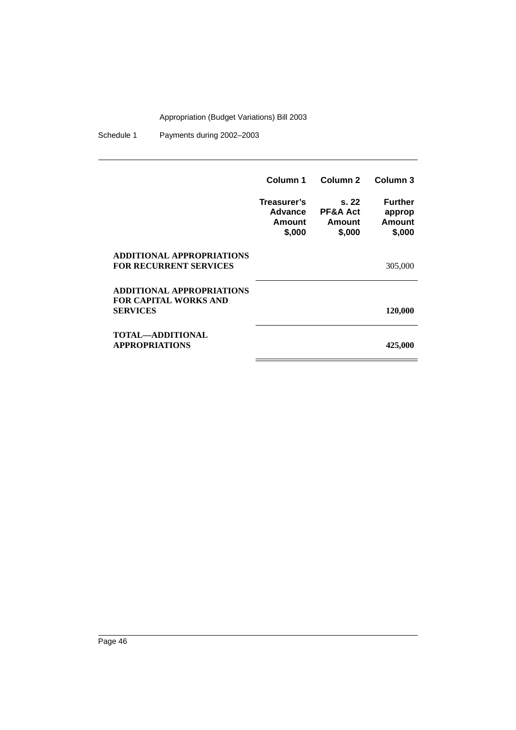Schedule 1 Payments during 2002–2003

|                                                                                     | Column 1                                   | Column 2                                        | Column 3                                     |
|-------------------------------------------------------------------------------------|--------------------------------------------|-------------------------------------------------|----------------------------------------------|
|                                                                                     | Treasurer's<br>Advance<br>Amount<br>\$,000 | s.22<br><b>PF&amp;A Act</b><br>Amount<br>\$,000 | <b>Further</b><br>approp<br>Amount<br>\$,000 |
| <b>ADDITIONAL APPROPRIATIONS</b><br><b>FOR RECURRENT SERVICES</b>                   |                                            |                                                 | 305,000                                      |
| <b>ADDITIONAL APPROPRIATIONS</b><br><b>FOR CAPITAL WORKS AND</b><br><b>SERVICES</b> |                                            |                                                 | 120,000                                      |
| TOTAL—ADDITIONAL<br><b>APPROPRIATIONS</b>                                           |                                            |                                                 | 425,000                                      |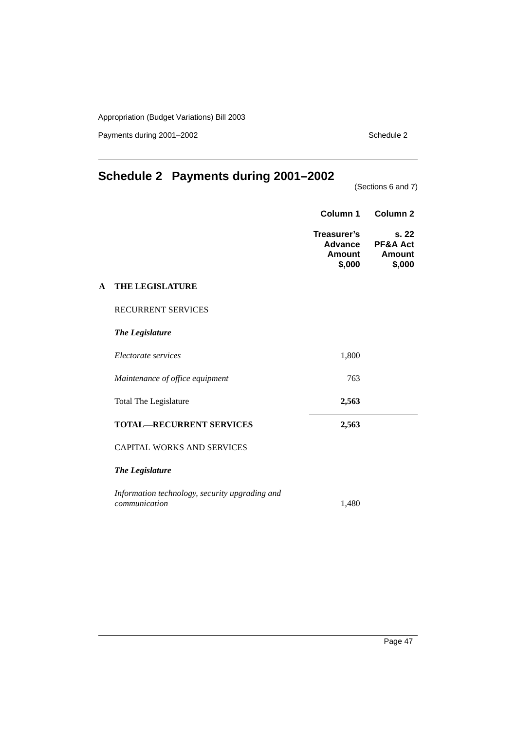Payments during 2001–2002 Schedule 2

## <span id="page-48-0"></span>**Schedule 2 Payments during 2001–2002**

(Sections 6 and 7)

|   |                                                                 | Column 1                                          | Column <sub>2</sub>                                    |
|---|-----------------------------------------------------------------|---------------------------------------------------|--------------------------------------------------------|
|   |                                                                 | Treasurer's<br><b>Advance</b><br>Amount<br>\$,000 | s.22<br><b>PF&amp;A Act</b><br><b>Amount</b><br>\$,000 |
| A | THE LEGISLATURE                                                 |                                                   |                                                        |
|   | <b>RECURRENT SERVICES</b>                                       |                                                   |                                                        |
|   | <b>The Legislature</b>                                          |                                                   |                                                        |
|   | Electorate services                                             | 1,800                                             |                                                        |
|   | Maintenance of office equipment                                 | 763                                               |                                                        |
|   | Total The Legislature                                           | 2,563                                             |                                                        |
|   | <b>TOTAL-RECURRENT SERVICES</b>                                 | 2,563                                             |                                                        |
|   | <b>CAPITAL WORKS AND SERVICES</b>                               |                                                   |                                                        |
|   | The Legislature                                                 |                                                   |                                                        |
|   | Information technology, security upgrading and<br>communication | 1,480                                             |                                                        |
|   |                                                                 |                                                   |                                                        |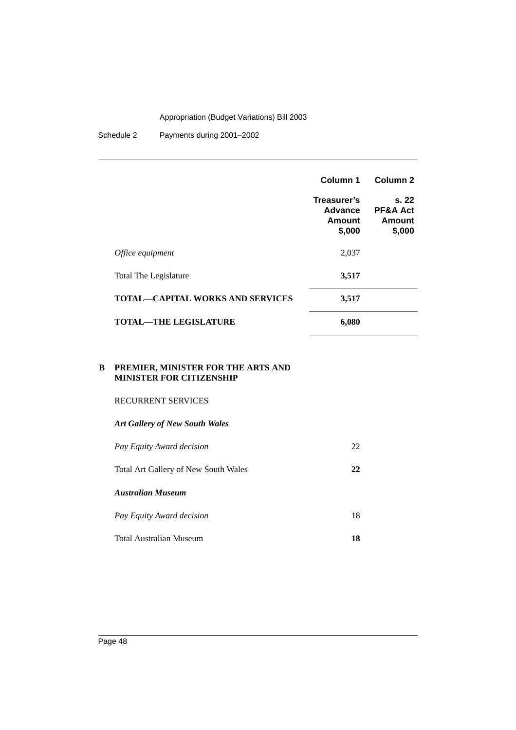Schedule 2 Payments during 2001–2002

|                                         | Column 1                                   | Column <sub>2</sub>                             |
|-----------------------------------------|--------------------------------------------|-------------------------------------------------|
|                                         | Treasurer's<br>Advance<br>Amount<br>\$,000 | s.22<br><b>PF&amp;A Act</b><br>Amount<br>\$,000 |
| Office equipment                        | 2,037                                      |                                                 |
| Total The Legislature                   | 3,517                                      |                                                 |
| <b>TOTAL—CAPITAL WORKS AND SERVICES</b> | 3,517                                      |                                                 |
| <b>TOTAL—THE LEGISLATURE</b>            | 6,080                                      |                                                 |

#### **B PREMIER, MINISTER FOR THE ARTS AND MINISTER FOR CITIZENSHIP**

#### RECURRENT SERVICES

# *Art Gallery of New South Wales Pay Equity Award decision* 22 Total Art Gallery of New South Wales **22** *Australian Museum Pay Equity Award decision* 18

Total Australian Museum **18**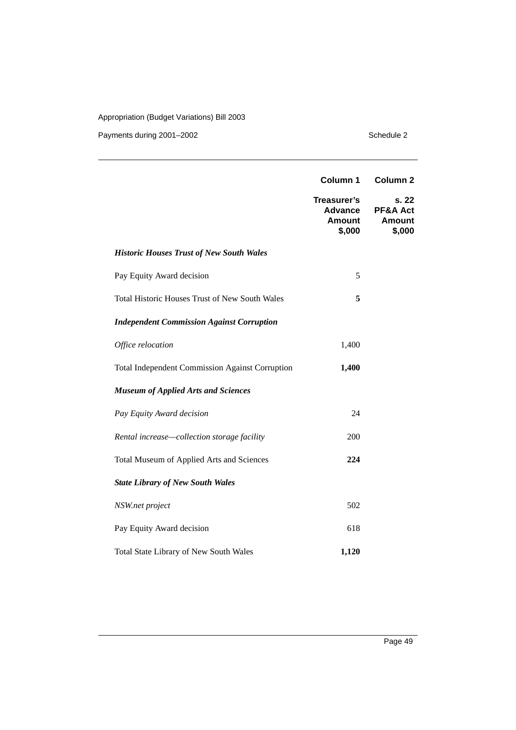|                                                        | Column 1                                          | Column <sub>2</sub>                          |
|--------------------------------------------------------|---------------------------------------------------|----------------------------------------------|
|                                                        | Treasurer's<br>Advance<br><b>Amount</b><br>\$,000 | s. 22<br>PF&A Act<br><b>Amount</b><br>\$,000 |
| <b>Historic Houses Trust of New South Wales</b>        |                                                   |                                              |
| Pay Equity Award decision                              | 5                                                 |                                              |
| <b>Total Historic Houses Trust of New South Wales</b>  | 5                                                 |                                              |
| <b>Independent Commission Against Corruption</b>       |                                                   |                                              |
| Office relocation                                      | 1,400                                             |                                              |
| <b>Total Independent Commission Against Corruption</b> | 1,400                                             |                                              |
| <b>Museum of Applied Arts and Sciences</b>             |                                                   |                                              |
| Pay Equity Award decision                              | 24                                                |                                              |
| Rental increase-collection storage facility            | 200                                               |                                              |
| Total Museum of Applied Arts and Sciences              | 224                                               |                                              |
| <b>State Library of New South Wales</b>                |                                                   |                                              |
| NSW.net project                                        | 502                                               |                                              |
| Pay Equity Award decision                              | 618                                               |                                              |
| <b>Total State Library of New South Wales</b>          | 1,120                                             |                                              |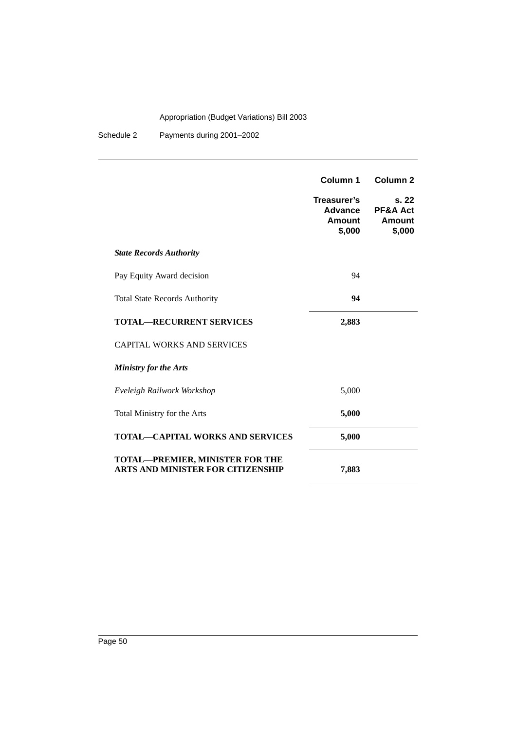Schedule 2 Payments during 2001–2002

|                                                                                    | Column 1<br>Treasurer's<br>Advance<br>Amount<br>\$,000 | Column <sub>2</sub><br>s. 22<br><b>PF&amp;A Act</b><br>Amount<br>\$,000 |
|------------------------------------------------------------------------------------|--------------------------------------------------------|-------------------------------------------------------------------------|
| <b>State Records Authority</b>                                                     |                                                        |                                                                         |
| Pay Equity Award decision                                                          | 94                                                     |                                                                         |
| <b>Total State Records Authority</b>                                               | 94                                                     |                                                                         |
| <b>TOTAL-RECURRENT SERVICES</b>                                                    | 2,883                                                  |                                                                         |
| <b>CAPITAL WORKS AND SERVICES</b>                                                  |                                                        |                                                                         |
| <b>Ministry for the Arts</b>                                                       |                                                        |                                                                         |
| Eveleigh Railwork Workshop                                                         | 5,000                                                  |                                                                         |
| Total Ministry for the Arts                                                        | 5,000                                                  |                                                                         |
| <b>TOTAL—CAPITAL WORKS AND SERVICES</b>                                            | 5,000                                                  |                                                                         |
| <b>TOTAL-PREMIER, MINISTER FOR THE</b><br><b>ARTS AND MINISTER FOR CITIZENSHIP</b> | 7,883                                                  |                                                                         |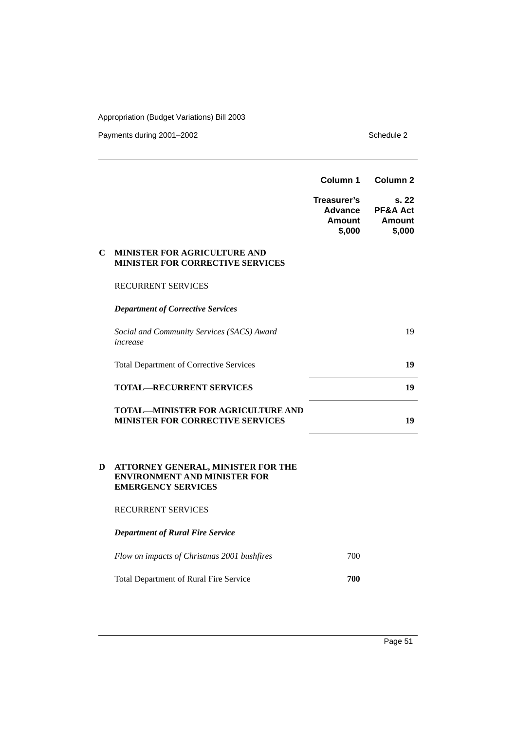Payments during 2001–2002 Schedule 2

|                                                                                      | Column 1                                   | Column <sub>2</sub>                   |
|--------------------------------------------------------------------------------------|--------------------------------------------|---------------------------------------|
|                                                                                      | Treasurer's<br>Advance<br>Amount<br>\$,000 | s. 22<br>PF&A Act<br>Amount<br>\$,000 |
| MINISTER FOR AGRICULTURE AND<br><b>MINISTER FOR CORRECTIVE SERVICES</b>              |                                            |                                       |
| <b>RECURRENT SERVICES</b>                                                            |                                            |                                       |
| <b>Department of Corrective Services</b>                                             |                                            |                                       |
| Social and Community Services (SACS) Award<br>increase                               |                                            | 19                                    |
| <b>Total Department of Corrective Services</b>                                       |                                            | 19                                    |
| <b>TOTAL—RECURRENT SERVICES</b>                                                      |                                            | 19                                    |
| <b>TOTAL—MINISTER FOR AGRICULTURE AND</b><br><b>MINISTER FOR CORRECTIVE SERVICES</b> |                                            | 19                                    |
|                                                                                      |                                            |                                       |

#### **D ATTORNEY GENERAL, MINISTER FOR THE ENVIRONMENT AND MINISTER FOR EMERGENCY SERVICES**

#### RECURRENT SERVICES

*Department of Rural Fire Service*

| Flow on impacts of Christmas 2001 bushfires   | 700 |
|-----------------------------------------------|-----|
| <b>Total Department of Rural Fire Service</b> | 700 |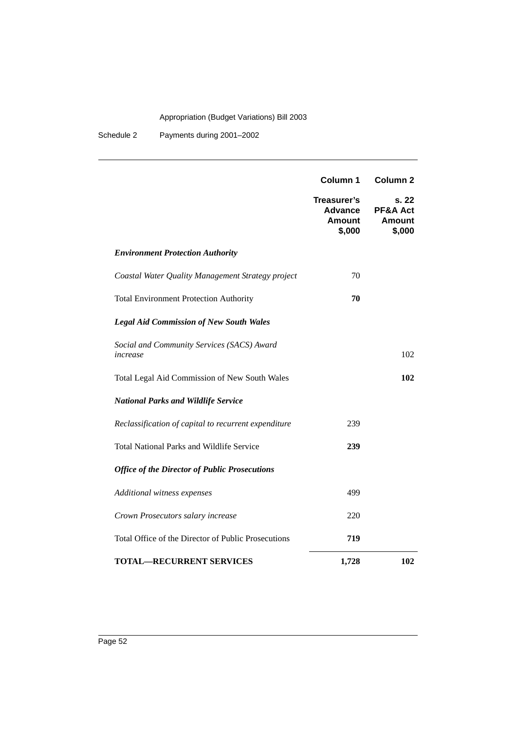Schedule 2 Payments during 2001–2002

|                                                        | Column 1                                                 | <b>Column 2</b>                                         |
|--------------------------------------------------------|----------------------------------------------------------|---------------------------------------------------------|
|                                                        | Treasurer's<br><b>Advance</b><br><b>Amount</b><br>\$,000 | s. 22<br><b>PF&amp;A Act</b><br><b>Amount</b><br>\$,000 |
| <b>Environment Protection Authority</b>                |                                                          |                                                         |
| Coastal Water Quality Management Strategy project      | 70                                                       |                                                         |
| <b>Total Environment Protection Authority</b>          | 70                                                       |                                                         |
| <b>Legal Aid Commission of New South Wales</b>         |                                                          |                                                         |
| Social and Community Services (SACS) Award<br>increase |                                                          | 102                                                     |
| Total Legal Aid Commission of New South Wales          |                                                          | 102                                                     |
| <b>National Parks and Wildlife Service</b>             |                                                          |                                                         |
| Reclassification of capital to recurrent expenditure   | 239                                                      |                                                         |
| <b>Total National Parks and Wildlife Service</b>       | 239                                                      |                                                         |
| <b>Office of the Director of Public Prosecutions</b>   |                                                          |                                                         |
| Additional witness expenses                            | 499                                                      |                                                         |
| Crown Prosecutors salary increase                      | 220                                                      |                                                         |
| Total Office of the Director of Public Prosecutions    | 719                                                      |                                                         |
| <b>TOTAL—RECURRENT SERVICES</b>                        | 1,728                                                    | 102                                                     |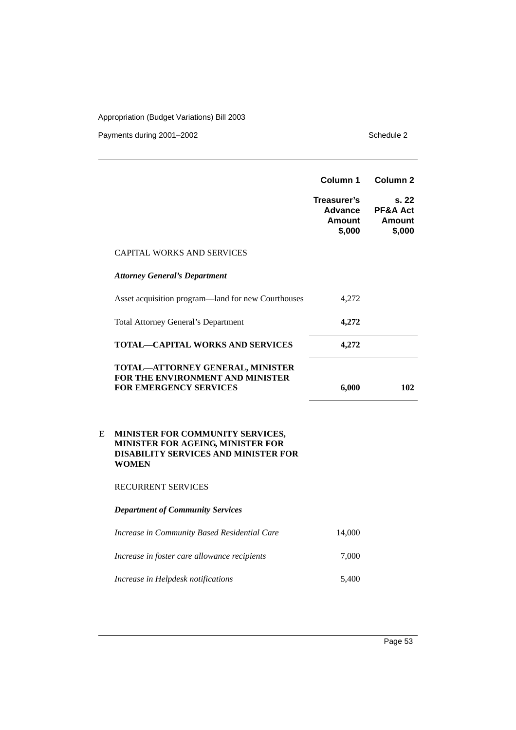|   |                                                                                                                                      | Column 1                                          | Column <sub>2</sub>                                     |
|---|--------------------------------------------------------------------------------------------------------------------------------------|---------------------------------------------------|---------------------------------------------------------|
|   |                                                                                                                                      | Treasurer's<br>Advance<br><b>Amount</b><br>\$,000 | s. 22<br><b>PF&amp;A Act</b><br><b>Amount</b><br>\$,000 |
|   | <b>CAPITAL WORKS AND SERVICES</b>                                                                                                    |                                                   |                                                         |
|   | <b>Attorney General's Department</b>                                                                                                 |                                                   |                                                         |
|   | Asset acquisition program—land for new Courthouses                                                                                   | 4,272                                             |                                                         |
|   | <b>Total Attorney General's Department</b>                                                                                           | 4,272                                             |                                                         |
|   | <b>TOTAL-CAPITAL WORKS AND SERVICES</b>                                                                                              | 4,272                                             |                                                         |
|   | TOTAL-ATTORNEY GENERAL, MINISTER<br>FOR THE ENVIRONMENT AND MINISTER<br><b>FOR EMERGENCY SERVICES</b>                                | 6,000                                             | 102                                                     |
| E | MINISTER FOR COMMUNITY SERVICES,<br>MINISTER FOR AGEING, MINISTER FOR<br><b>DISABILITY SERVICES AND MINISTER FOR</b><br><b>WOMEN</b> |                                                   |                                                         |
|   | RECURRENT SERVICES                                                                                                                   |                                                   |                                                         |
|   | <b>Department of Community Services</b>                                                                                              |                                                   |                                                         |
|   | Increase in Community Based Residential Care                                                                                         | 14,000                                            |                                                         |
|   | Increase in foster care allowance recipients                                                                                         | 7,000                                             |                                                         |
|   | Increase in Helpdesk notifications                                                                                                   | 5,400                                             |                                                         |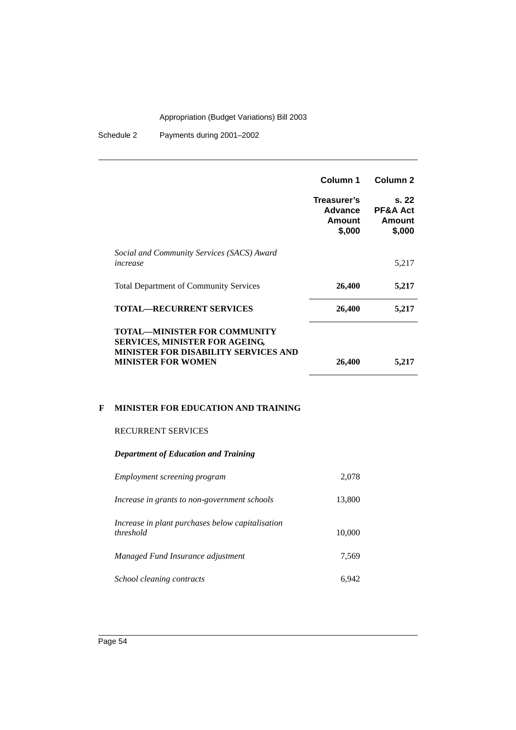Schedule 2 Payments during 2001–2002

|                                                                                                                                                          | Column 1                                   | Column 2                                         |
|----------------------------------------------------------------------------------------------------------------------------------------------------------|--------------------------------------------|--------------------------------------------------|
|                                                                                                                                                          | Treasurer's<br>Advance<br>Amount<br>\$,000 | s. 22<br><b>PF&amp;A Act</b><br>Amount<br>\$,000 |
| Social and Community Services (SACS) Award<br>increase                                                                                                   |                                            | 5,217                                            |
| <b>Total Department of Community Services</b>                                                                                                            | 26,400                                     | 5,217                                            |
| <b>TOTAL—RECURRENT SERVICES</b>                                                                                                                          | 26,400                                     | 5,217                                            |
| <b>TOTAL—MINISTER FOR COMMUNITY</b><br><b>SERVICES, MINISTER FOR AGEING,</b><br><b>MINISTER FOR DISABILITY SERVICES AND</b><br><b>MINISTER FOR WOMEN</b> | 26,400                                     | 5,217                                            |

#### **F MINISTER FOR EDUCATION AND TRAINING**

#### RECURRENT SERVICES

#### *Department of Education and Training*

| Employment screening program                                  | 2,078  |
|---------------------------------------------------------------|--------|
| Increase in grants to non-government schools                  | 13,800 |
| Increase in plant purchases below capitalisation<br>threshold | 10,000 |
| Managed Fund Insurance adjustment                             | 7,569  |
| School cleaning contracts                                     | 6.942  |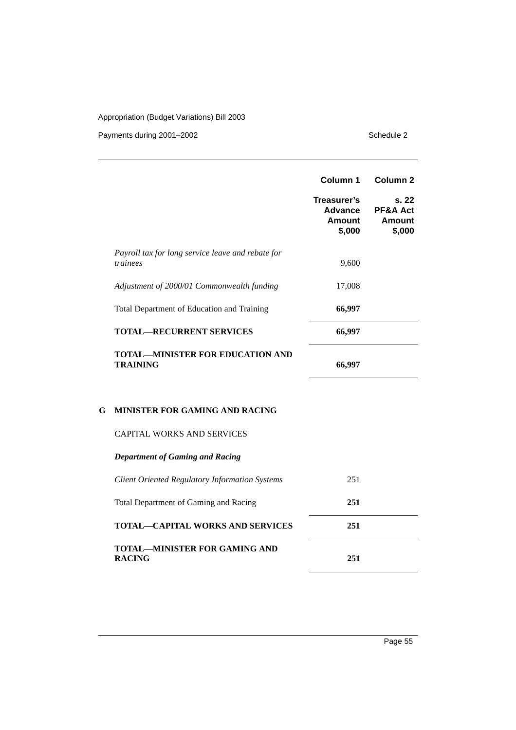Payments during 2001–2002 Schedule 2

|                                                               | Column 1                                   | Column <sub>2</sub>                              |
|---------------------------------------------------------------|--------------------------------------------|--------------------------------------------------|
|                                                               | Treasurer's<br>Advance<br>Amount<br>\$,000 | s. 22<br><b>PF&amp;A Act</b><br>Amount<br>\$,000 |
| Payroll tax for long service leave and rebate for<br>trainees | 9,600                                      |                                                  |
| Adjustment of 2000/01 Commonwealth funding                    | 17,008                                     |                                                  |
| Total Department of Education and Training                    | 66,997                                     |                                                  |
| <b>TOTAL—RECURRENT SERVICES</b>                               | 66,997                                     |                                                  |
| <b>TOTAL—MINISTER FOR EDUCATION AND</b><br><b>TRAINING</b>    | 66,997                                     |                                                  |

### **G MINISTER FOR GAMING AND RACING**

#### CAPITAL WORKS AND SERVICES

| <b>Department of Gaming and Racing</b>                |     |
|-------------------------------------------------------|-----|
| <b>Client Oriented Regulatory Information Systems</b> | 251 |
| Total Department of Gaming and Racing                 | 251 |
| <b>TOTAL—CAPITAL WORKS AND SERVICES</b>               | 251 |
| <b>TOTAL—MINISTER FOR GAMING AND</b><br><b>RACING</b> | 251 |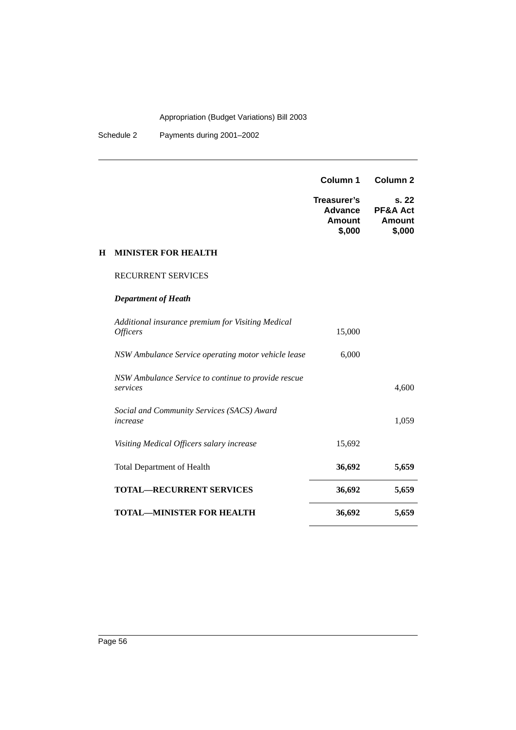Schedule 2 Payments during 2001–2002

|   |                                                                             | Column 1                                          | Column <sub>2</sub>                                     |
|---|-----------------------------------------------------------------------------|---------------------------------------------------|---------------------------------------------------------|
|   |                                                                             | Treasurer's<br>Advance<br><b>Amount</b><br>\$,000 | s. 22<br><b>PF&amp;A Act</b><br><b>Amount</b><br>\$,000 |
| Н | <b>MINISTER FOR HEALTH</b>                                                  |                                                   |                                                         |
|   | <b>RECURRENT SERVICES</b>                                                   |                                                   |                                                         |
|   | <b>Department of Heath</b>                                                  |                                                   |                                                         |
|   | Additional insurance premium for Visiting Medical<br><i><b>Officers</b></i> | 15,000                                            |                                                         |
|   | NSW Ambulance Service operating motor vehicle lease                         | 6,000                                             |                                                         |
|   | NSW Ambulance Service to continue to provide rescue<br>services             |                                                   | 4,600                                                   |
|   | Social and Community Services (SACS) Award<br>increase                      |                                                   | 1,059                                                   |
|   | Visiting Medical Officers salary increase                                   | 15,692                                            |                                                         |
|   | Total Department of Health                                                  | 36,692                                            | 5,659                                                   |
|   | <b>TOTAL-RECURRENT SERVICES</b>                                             | 36,692                                            | 5,659                                                   |
|   | <b>TOTAL—MINISTER FOR HEALTH</b>                                            | 36,692                                            | 5,659                                                   |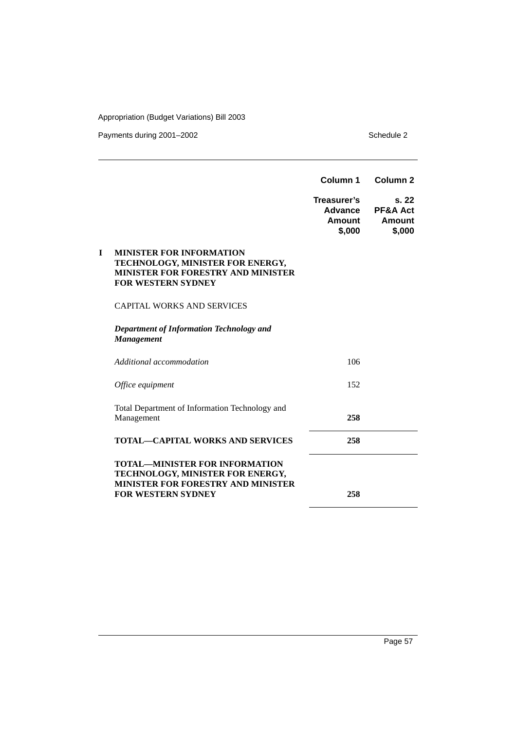|                                                                                                                                                     | Column 1                                   | Column <sub>2</sub>                                    |
|-----------------------------------------------------------------------------------------------------------------------------------------------------|--------------------------------------------|--------------------------------------------------------|
|                                                                                                                                                     | Treasurer's<br>Advance<br>Amount<br>\$,000 | s.22<br><b>PF&amp;A Act</b><br><b>Amount</b><br>\$,000 |
| <b>MINISTER FOR INFORMATION</b><br>I<br>TECHNOLOGY, MINISTER FOR ENERGY,<br><b>MINISTER FOR FORESTRY AND MINISTER</b><br><b>FOR WESTERN SYDNEY</b>  |                                            |                                                        |
| <b>CAPITAL WORKS AND SERVICES</b>                                                                                                                   |                                            |                                                        |
| <b>Department of Information Technology and</b><br><b>Management</b>                                                                                |                                            |                                                        |
| Additional accommodation                                                                                                                            | 106                                        |                                                        |
| Office equipment                                                                                                                                    | 152                                        |                                                        |
| Total Department of Information Technology and<br>Management                                                                                        | 258                                        |                                                        |
| <b>TOTAL—CAPITAL WORKS AND SERVICES</b>                                                                                                             | 258                                        |                                                        |
| <b>TOTAL—MINISTER FOR INFORMATION</b><br>TECHNOLOGY, MINISTER FOR ENERGY,<br><b>MINISTER FOR FORESTRY AND MINISTER</b><br><b>FOR WESTERN SYDNEY</b> | 258                                        |                                                        |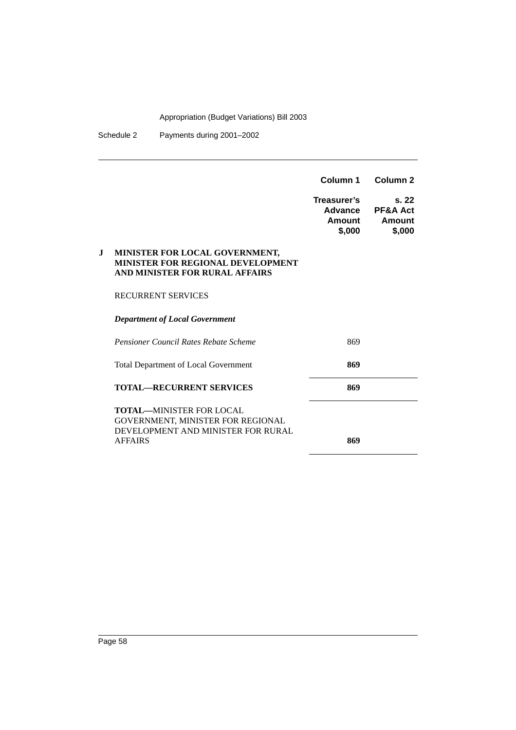Schedule 2 Payments during 2001–2002

|    |                                                                                                                              | Column 1                                   | Column <sub>2</sub>                             |
|----|------------------------------------------------------------------------------------------------------------------------------|--------------------------------------------|-------------------------------------------------|
|    |                                                                                                                              | Treasurer's<br>Advance<br>Amount<br>\$,000 | s.22<br><b>PF&amp;A Act</b><br>Amount<br>\$,000 |
| J. | MINISTER FOR LOCAL GOVERNMENT,<br><b>MINISTER FOR REGIONAL DEVELOPMENT</b><br>AND MINISTER FOR RURAL AFFAIRS                 |                                            |                                                 |
|    | <b>RECURRENT SERVICES</b>                                                                                                    |                                            |                                                 |
|    | <b>Department of Local Government</b>                                                                                        |                                            |                                                 |
|    | <b>Pensioner Council Rates Rebate Scheme</b>                                                                                 | 869                                        |                                                 |
|    | <b>Total Department of Local Government</b>                                                                                  | 869                                        |                                                 |
|    | <b>TOTAL—RECURRENT SERVICES</b>                                                                                              | 869                                        |                                                 |
|    | <b>TOTAL—MINISTER FOR LOCAL</b><br>GOVERNMENT, MINISTER FOR REGIONAL<br>DEVELOPMENT AND MINISTER FOR RURAL<br><b>AFFAIRS</b> | 869                                        |                                                 |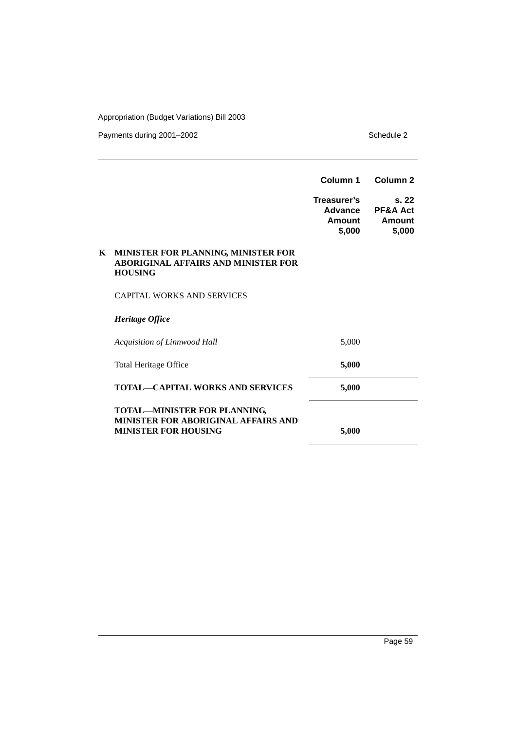|    |                                                                                                           | Column 1                                   | Column <sub>2</sub>                             |
|----|-----------------------------------------------------------------------------------------------------------|--------------------------------------------|-------------------------------------------------|
|    |                                                                                                           | Treasurer's<br>Advance<br>Amount<br>\$,000 | S.22<br><b>PF&amp;A Act</b><br>Amount<br>\$,000 |
| K. | MINISTER FOR PLANNING, MINISTER FOR<br><b>ABORIGINAL AFFAIRS AND MINISTER FOR</b><br><b>HOUSING</b>       |                                            |                                                 |
|    | <b>CAPITAL WORKS AND SERVICES</b>                                                                         |                                            |                                                 |
|    | Heritage Office                                                                                           |                                            |                                                 |
|    | Acquisition of Linnwood Hall                                                                              | 5,000                                      |                                                 |
|    | Total Heritage Office                                                                                     | 5,000                                      |                                                 |
|    | <b>TOTAL-CAPITAL WORKS AND SERVICES</b>                                                                   | 5,000                                      |                                                 |
|    | TOTAL-MINISTER FOR PLANNING,<br><b>MINISTER FOR ABORIGINAL AFFAIRS AND</b><br><b>MINISTER FOR HOUSING</b> | 5,000                                      |                                                 |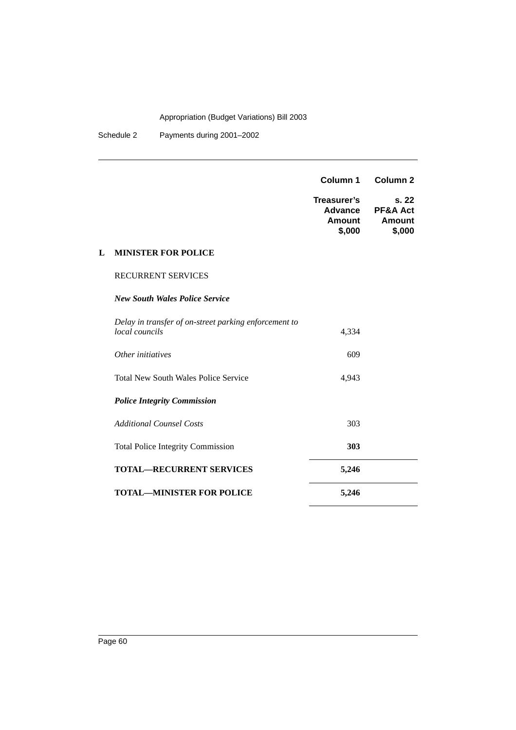Schedule 2 Payments during 2001–2002

|   |                                                                                | Column 1                                                 | Column <sub>2</sub>                             |
|---|--------------------------------------------------------------------------------|----------------------------------------------------------|-------------------------------------------------|
|   |                                                                                | Treasurer's<br><b>Advance</b><br><b>Amount</b><br>\$,000 | s.22<br><b>PF&amp;A Act</b><br>Amount<br>\$,000 |
| L | <b>MINISTER FOR POLICE</b>                                                     |                                                          |                                                 |
|   | <b>RECURRENT SERVICES</b>                                                      |                                                          |                                                 |
|   | <b>New South Wales Police Service</b>                                          |                                                          |                                                 |
|   | Delay in transfer of on-street parking enforcement to<br><i>local councils</i> | 4,334                                                    |                                                 |
|   | Other initiatives                                                              | 609                                                      |                                                 |
|   | <b>Total New South Wales Police Service</b>                                    | 4,943                                                    |                                                 |
|   | <b>Police Integrity Commission</b>                                             |                                                          |                                                 |
|   | <b>Additional Counsel Costs</b>                                                | 303                                                      |                                                 |
|   | <b>Total Police Integrity Commission</b>                                       | 303                                                      |                                                 |
|   | <b>TOTAL—RECURRENT SERVICES</b>                                                | 5,246                                                    |                                                 |
|   | <b>TOTAL-MINISTER FOR POLICE</b>                                               | 5,246                                                    |                                                 |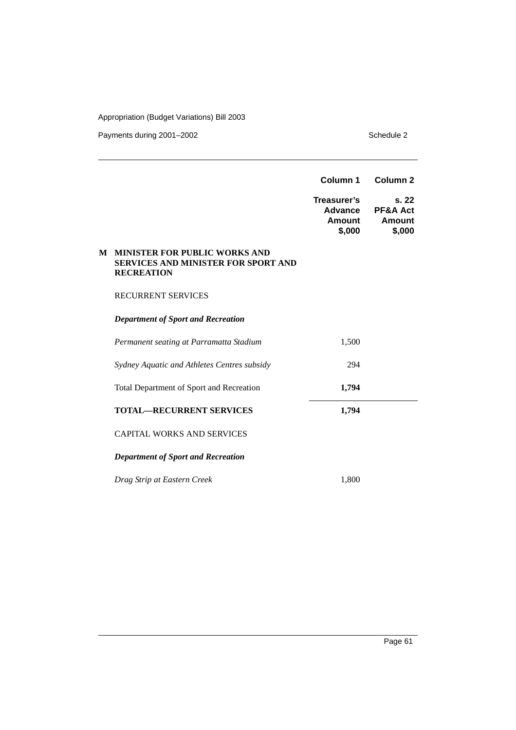Payments during 2001–2002 Schedule 2

|   |                                                                                                         | Column 1                                          | Column <sub>2</sub>                                     |
|---|---------------------------------------------------------------------------------------------------------|---------------------------------------------------|---------------------------------------------------------|
|   |                                                                                                         | Treasurer's<br><b>Advance</b><br>Amount<br>\$,000 | s. 22<br><b>PF&amp;A Act</b><br><b>Amount</b><br>\$,000 |
| М | <b>MINISTER FOR PUBLIC WORKS AND</b><br><b>SERVICES AND MINISTER FOR SPORT AND</b><br><b>RECREATION</b> |                                                   |                                                         |
|   | <b>RECURRENT SERVICES</b>                                                                               |                                                   |                                                         |
|   | <b>Department of Sport and Recreation</b>                                                               |                                                   |                                                         |
|   | Permanent seating at Parramatta Stadium                                                                 | 1,500                                             |                                                         |
|   | Sydney Aquatic and Athletes Centres subsidy                                                             | 294                                               |                                                         |
|   | Total Department of Sport and Recreation                                                                | 1,794                                             |                                                         |
|   | <b>TOTAL-RECURRENT SERVICES</b>                                                                         | 1,794                                             |                                                         |
|   | <b>CAPITAL WORKS AND SERVICES</b>                                                                       |                                                   |                                                         |
|   | <b>Department of Sport and Recreation</b>                                                               |                                                   |                                                         |
|   | Drag Strip at Eastern Creek                                                                             | 1,800                                             |                                                         |

Page 61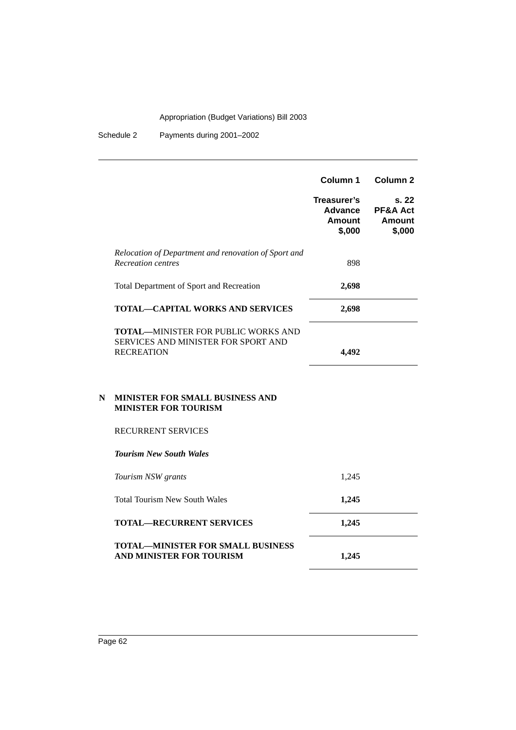Schedule 2 Payments during 2001–2002

|                                                                                                        | Column 1                                   | Column <sub>2</sub>                             |
|--------------------------------------------------------------------------------------------------------|--------------------------------------------|-------------------------------------------------|
|                                                                                                        | Treasurer's<br>Advance<br>Amount<br>\$,000 | s.22<br><b>PF&amp;A Act</b><br>Amount<br>\$,000 |
| Relocation of Department and renovation of Sport and<br>Recreation centres                             | 898                                        |                                                 |
| Total Department of Sport and Recreation                                                               | 2,698                                      |                                                 |
| <b>TOTAL—CAPITAL WORKS AND SERVICES</b>                                                                | 2,698                                      |                                                 |
| <b>TOTAL—MINISTER FOR PUBLIC WORKS AND</b><br>SERVICES AND MINISTER FOR SPORT AND<br><b>RECREATION</b> | 4.492                                      |                                                 |

#### **N MINISTER FOR SMALL BUSINESS AND MINISTER FOR TOURISM**

#### RECURRENT SERVICES

*Tourism New South Wales Tourism NSW grants* 1,245 Total Tourism New South Wales **1,245 TOTAL—RECURRENT SERVICES** 1,245 **TOTAL—MINISTER FOR SMALL BUSINESS AND MINISTER FOR TOURISM 1,245**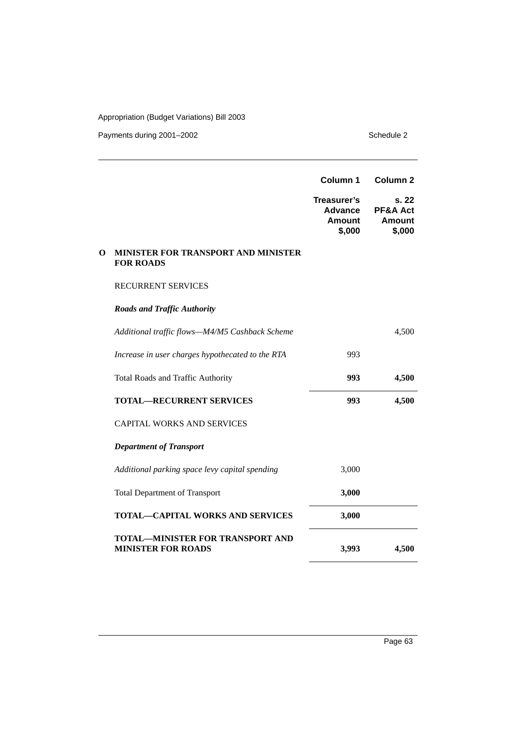|   |                                                                      | Column 1                                                 | Column <sub>2</sub>                                     |
|---|----------------------------------------------------------------------|----------------------------------------------------------|---------------------------------------------------------|
|   |                                                                      | Treasurer's<br><b>Advance</b><br><b>Amount</b><br>\$,000 | s. 22<br><b>PF&amp;A Act</b><br><b>Amount</b><br>\$,000 |
| О | <b>MINISTER FOR TRANSPORT AND MINISTER</b><br><b>FOR ROADS</b>       |                                                          |                                                         |
|   | <b>RECURRENT SERVICES</b>                                            |                                                          |                                                         |
|   | <b>Roads and Traffic Authority</b>                                   |                                                          |                                                         |
|   | Additional traffic flows-M4/M5 Cashback Scheme                       |                                                          | 4,500                                                   |
|   | Increase in user charges hypothecated to the RTA                     | 993                                                      |                                                         |
|   | Total Roads and Traffic Authority                                    | 993                                                      | 4,500                                                   |
|   | <b>TOTAL-RECURRENT SERVICES</b>                                      | 993                                                      | 4,500                                                   |
|   | <b>CAPITAL WORKS AND SERVICES</b>                                    |                                                          |                                                         |
|   | <b>Department of Transport</b>                                       |                                                          |                                                         |
|   | Additional parking space levy capital spending                       | 3,000                                                    |                                                         |
|   | <b>Total Department of Transport</b>                                 | 3,000                                                    |                                                         |
|   | <b>TOTAL-CAPITAL WORKS AND SERVICES</b>                              | 3,000                                                    |                                                         |
|   | <b>TOTAL-MINISTER FOR TRANSPORT AND</b><br><b>MINISTER FOR ROADS</b> | 3,993                                                    | 4,500                                                   |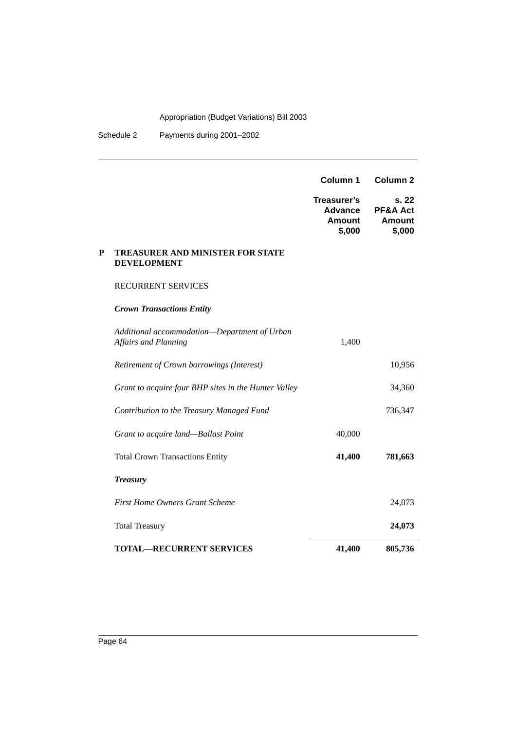Schedule 2 Payments during 2001–2002

|   |                                                                      | Column 1                                                 | Column <sub>2</sub>                          |
|---|----------------------------------------------------------------------|----------------------------------------------------------|----------------------------------------------|
|   |                                                                      | Treasurer's<br><b>Advance</b><br><b>Amount</b><br>\$,000 | s. 22<br>PF&A Act<br><b>Amount</b><br>\$,000 |
| P | <b>TREASURER AND MINISTER FOR STATE</b><br><b>DEVELOPMENT</b>        |                                                          |                                              |
|   | <b>RECURRENT SERVICES</b>                                            |                                                          |                                              |
|   | <b>Crown Transactions Entity</b>                                     |                                                          |                                              |
|   | Additional accommodation-Department of Urban<br>Affairs and Planning | 1,400                                                    |                                              |
|   | Retirement of Crown borrowings (Interest)                            |                                                          | 10,956                                       |
|   | Grant to acquire four BHP sites in the Hunter Valley                 |                                                          | 34,360                                       |
|   | Contribution to the Treasury Managed Fund                            |                                                          | 736,347                                      |
|   | Grant to acquire land—Ballast Point                                  | 40,000                                                   |                                              |
|   | <b>Total Crown Transactions Entity</b>                               | 41,400                                                   | 781,663                                      |
|   | <b>Treasury</b>                                                      |                                                          |                                              |
|   | <b>First Home Owners Grant Scheme</b>                                |                                                          | 24,073                                       |
|   | <b>Total Treasury</b>                                                |                                                          | 24,073                                       |
|   | <b>TOTAL-RECURRENT SERVICES</b>                                      | 41,400                                                   | 805,736                                      |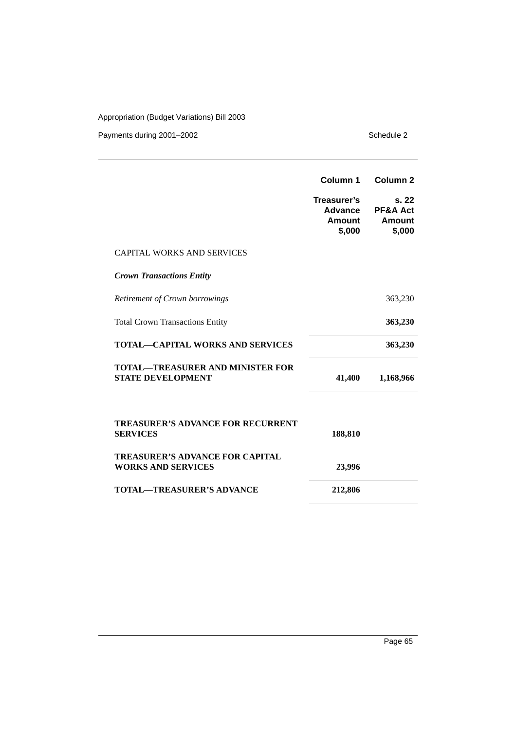|                                                                     | Column 1                                          | Column <sub>2</sub>                              |
|---------------------------------------------------------------------|---------------------------------------------------|--------------------------------------------------|
|                                                                     | Treasurer's<br>Advance<br><b>Amount</b><br>\$,000 | s. 22<br><b>PF&amp;A Act</b><br>Amount<br>\$,000 |
| <b>CAPITAL WORKS AND SERVICES</b>                                   |                                                   |                                                  |
| <b>Crown Transactions Entity</b>                                    |                                                   |                                                  |
| Retirement of Crown borrowings                                      |                                                   | 363,230                                          |
| <b>Total Crown Transactions Entity</b>                              |                                                   | 363,230                                          |
| <b>TOTAL—CAPITAL WORKS AND SERVICES</b>                             |                                                   | 363,230                                          |
| TOTAL—TREASURER AND MINISTER FOR<br><b>STATE DEVELOPMENT</b>        | 41,400                                            | 1,168,966                                        |
| <b>TREASURER'S ADVANCE FOR RECURRENT</b><br><b>SERVICES</b>         | 188,810                                           |                                                  |
| <b>TREASURER'S ADVANCE FOR CAPITAL</b><br><b>WORKS AND SERVICES</b> | 23,996                                            |                                                  |
| TOTAL—TREASURER'S ADVANCE                                           | 212,806                                           |                                                  |